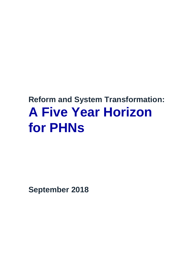# **Reform and System Transformation: A Five Year Horizon for PHNs**

**September 2018**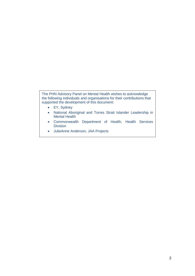The PHN Advisory Panel on Mental Health wishes to acknowledge the following individuals and organisations for their contributions that supported the development of this document:

- EY, Sydney
- National Aboriginal and Torres Strait Islander Leadership in Mental Health
- Commonwealth Department of Health, Health Services **Division**
- JulieAnne Anderson, JAA Projects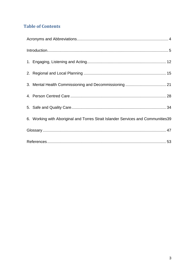# **Table of Contents**

| 6. Working with Aboriginal and Torres Strait Islander Services and Communities39 |  |
|----------------------------------------------------------------------------------|--|
|                                                                                  |  |
|                                                                                  |  |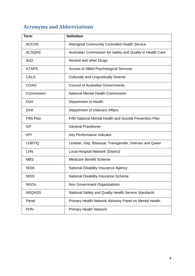# <span id="page-3-0"></span>**Acronyms and Abbreviations**

| <b>Term</b>       | <b>Definition</b>                                           |
|-------------------|-------------------------------------------------------------|
| <b>ACCHS</b>      | Aboriginal Community Controlled Health Service              |
| <b>ACSQHC</b>     | Australian Commission for Safety and Quality in Health Care |
| AoD               | Alcohol and other Drugs                                     |
| <b>ATAPS</b>      | <b>Access to Allied Psychological Services</b>              |
| <b>CALD</b>       | <b>Culturally and Linguistically Diverse</b>                |
| <b>COAG</b>       | <b>Council of Australian Governments</b>                    |
| Commission        | <b>National Mental Health Commission</b>                    |
| <b>DoH</b>        | Department of Health                                        |
| <b>DVA</b>        | Department of Veterans Affairs                              |
| <b>Fifth Plan</b> | Fifth National Mental Health and Suicide Prevention Plan    |
| GP                | <b>General Practitioner</b>                                 |
| <b>KPI</b>        | Key Performance Indicator                                   |
| <b>LGBTIQ</b>     | Lesbian, Gay, Bisexual, Transgender, Intersex and Queer     |
| LHN               | Local Hospital Network (District)                           |
| <b>MBS</b>        | <b>Medicare Benefit Scheme</b>                              |
| <b>NDIA</b>       | National Disability Insurance Agency                        |
| <b>NDIS</b>       | National Disability Insurance Scheme                        |
| <b>NGOs</b>       | Non Government Organisations                                |
| <b>NSQHSS</b>     | National Safety and Quality Health Service Standards        |
| Panel             | Primary Health Network Advisory Panel on Mental Health      |
| <b>PHN</b>        | <b>Primary Health Network</b>                               |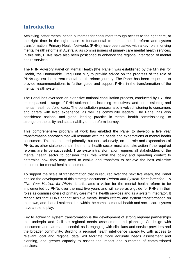## <span id="page-4-0"></span>**Introduction**

Achieving better mental health outcomes for consumers through access to the right care, at the right time in the right place is fundamental to mental health reform and system transformation. Primary Health Networks (PHNs) have been tasked with a key role in driving mental health reforms in Australia, as commissioners of primary care mental health services. In this role, PHNs have also been positioned to enhance the regional integration of mental health services.

The PHN Advisory Panel on Mental Health (the 'Panel') was established by the Minister for Health, the Honourable Greg Hunt MP, to provide advice on the progress of the role of PHNs against the current mental health reform journey. The Panel has been requested to provide recommendations to further guide and support PHNs in the transformation of the mental health system.

The Panel has overseen an extensive national consultation process, conducted by EY, that encompassed a range of PHN stakeholders including executives, and commissioning and mental health portfolio leads. The consultation process also involved listening to consumers and carers with lived experience, as well as community leaders. The Panel has also considered national and global leading practice in mental health commissioning, to strengthen the utility and sustainability of the reform journey.

This comprehensive program of work has enabled the Panel to develop a five year transformation approach that will resonate with the needs and expectations of mental health consumers. This has centred primarily, but not exclusively, on the role and expectations of PHNs, as other stakeholders in the mental health sector must also take action if the required reforms are to be successful. True system transformation requires all stakeholders of the mental health sector to consider their role within the policy and operating context to determine how they may need to evolve and transform to achieve the best collective outcomes for mental health consumers.

To support the scale of transformation that is required over the next five years, the Panel has led the development of this strategic document: *Reform and System Transformation – A Five Year Horizon for PHNs.* It articulates a vision for the mental health reform to be implemented by PHNs over the next five years and will serve as a guide for PHNs in their roles as commissioners of primary care mental health services and as a system integrator. It recognises that PHNs cannot achieve mental health reform and system transformation on their own, and that all stakeholders within the complex mental health and social care system have a role to play.

Key to achieving system transformation is the development of strong regional partnerships that underpin and facilitate regional needs assessment and planning. Co-design with consumers and carers is essential, as is engaging with clinicians and service providers and the broader community. Building a regional health intelligence capability, with access to relevant local and regional data, will facilitate more accurate needs assessment and planning, and greater capacity to assess the impact and outcomes of commissioned services.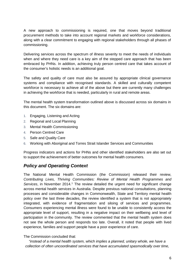A new approach to commissioning is required, one that moves beyond traditional procurement methods to take into account regional markets and workforce considerations, along with a clear commitment to engaging with regional stakeholders through all phases of commissioning.

Delivering services across the spectrum of illness severity to meet the needs of individuals when and where they need care is a key aim of the stepped care approach that has been embraced by PHNs. In addition, achieving truly person centred care that takes account of the consumer's holistic needs is an additional goal.

The safety and quality of care must also be assured by appropriate clinical governance systems and compliance with recognised standards. A skilled and culturally competent workforce is necessary to achieve all of the above but there are currently many challenges in achieving the workforce that is needed, particularly in rural and remote areas.

The mental health system transformation outlined above is discussed across six domains in this document. The six domains are:

- 1. Engaging, Listening and Acting
- 2. Regional and Local Planning
- 3. Mental Health Commissioning
- 4. Person Centred Care
- 5. Safe and Quality Care
- 6. Working with Aboriginal and Torres Strait Islander Services and Communities

Progress indicators and actions for PHNs and other identified stakeholders are also set out to support the achievement of better outcomes for mental health consumers.

#### *Policy and Operating Context*

The National Mental Health Commission (the Commission) released their review, *Contributing Lives, Thriving Communities: Review of Mental Health Programmes and* Services, in November 20[1](#page-52-1)4.<sup>1</sup> The review detailed the urgent need for significant change across mental health services in Australia. Despite previous national consultations, planning processes and considerable changes in Commonwealth, State and Territory mental health policy over the last three decades, the review identified a system that is not appropriately integrated, with evidence of fragmentation and siloing of services and programmes. Consumers experiencing mental illness were found to be unable to consistently access the appropriate level of support, resulting in a negative impact on their wellbeing and level of participation in the community. The review commented that the mental health system does not see the whole person and responds too late. Overall, it noted that people with lived experience, families and support people have a poor experience of care.

The Commission concluded that:

*"instead of a mental health system, which implies a planned, unitary whole, we have a collection of often uncoordinated services that have accumulated spasmodically over time,*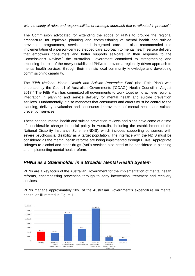*with no clarity of roles and responsibilities or strategic approach that is reflected in practice<sup>"</sup>* 

The Commission advocated for extending the scope of PHNs to provide the regional architecture for equitable planning and commissioning of mental health and suicide prevention programmes, services and integrated care. It also recommended the implementation of a person-centred stepped care approach to mental health service delivery that empowers consumers and better supports self-care. In their response to the Commission's Review,<sup>[3](#page-52-3)</sup> the Australian Government committed to strengthening and extending the role of the newly established PHNs to provide a regionally driven approach to mental health services, through their intrinsic local community knowledge and developing commissioning capability.

The '*Fifth National Mental Health and Suicide Prevention Plan*' (the 'Fifth Plan') was endorsed by the Council of Australian Governments ('COAG') Health Council in August 2017.[4](#page-52-4) The Fifth Plan has committed all governments to work together to achieve regional integration in planning and service delivery for mental health and suicide prevention services. Fundamentally, it also mandates that consumers and carers must be central to the planning, delivery, evaluation and continuous improvement of mental health and suicide prevention services.

These national mental health and suicide prevention reviews and plans have come at a time of considerable change in social policy in Australia, including the establishment of the National Disability Insurance Scheme (NDIS), which includes supporting consumers with severe psychosocial disability as a target population. The interface with the NDIS must be considered as the mental health reforms are being implemented through PHNs. Appropriate linkages to alcohol and other drugs (AoD) services also need to be considered in planning and implementing mental health reform.

## *PHNS as a Stakeholder in a Broader Mental Health System*

PHNs are a key focus of the Australian Government for the implementation of mental health reforms, encompassing prevention through to early intervention, treatment and recovery services.

PHNs manage approximately 10% of the Australian Government's expenditure on mental health, as illustrated in Figure 1.

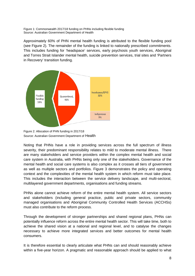Figure 1: Commonwealth 2017/18 funding on PHNs including flexible funding Source: Australian Government Department of Health

Approximately 60% of PHN mental health funding is attributed to the flexible funding pool (see Figure 2). The remainder of the funding is linked to nationally prescribed commitments. This includes funding for 'headspace' services, early psychosis youth services, Aboriginal and Torres Strait Islander mental health, suicide prevention services, trial sites and 'Partners in Recovery' transition funding.



Figure 2: Allocation of PHN funding in 2017/18 Source: Australian Government Department of Health

Noting that PHNs have a role in providing services across the full spectrum of illness severity, their predominant responsibility relates to mild to moderate mental illness. There are many stakeholders and service providers within the complex mental health and social care system in Australia, with PHNs being only one of the stakeholders. Governance of the mental health and social care systems is also complex as it crosses all tiers of government as well as multiple sectors and portfolios. Figure 3 demonstrates the policy and operating context and the complexities of the mental health system in which reform must take place. This includes the interaction between the service delivery landscape, and multi-sectoral, multilayered government departments, organisations and funding streams.

PHNs alone cannot achieve reform of the entire mental health system. All service sectors and stakeholders (including general practice, public and private sectors, community managed organisations and Aboriginal Community Controlled Health Services (ACCHSs) must also contribute to the reform process.

Through the development of stronger partnerships and shared regional plans, PHNs can potentially influence reform across the entire mental health sector. This will take time, both to achieve the shared vision at a national and regional level, and to catalyse the changes necessary to achieve more integrated services and better outcomes for mental health consumers.

It is therefore essential to clearly articulate what PHNs can and should reasonably achieve within a five-year horizon. A pragmatic and reasonable approach should be applied to what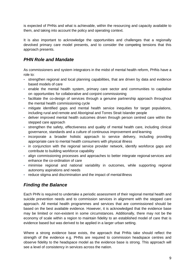is expected of PHNs and what is achievable, within the resourcing and capacity available to them, and taking into account the policy and operating context.

It is also important to acknowledge the opportunities and challenges that a regionally devolved primary care model presents, and to consider the competing tensions that this approach presents.

## *PHN Role and Mandate*

As commissioners and system integrators in the midst of mental health reform, PHNs have a role to:

- strengthen regional and local planning capabilities, that are driven by data and evidence based models of care
- enable the mental health system, primary care sector and communities to capitalise on opportunities for collaborative and conjoint commissioning
- facilitate the co-design of services through a genuine partnership approach throughout the mental health commissioning cycle
- mitigate identified gaps and mental health service inequities for target populations, including rural and remote and Aboriginal and Torres Strait Islander people
- deliver improved mental health outcomes driven through person centred care within the stepped care approach
- strengthen the safety, effectiveness and quality of mental health care, including clinical governance, standards and a culture of continuous improvement and learning
- incorporate a broader holistic approach to service delivery, including providing appropriate care to mental health consumers with physical illness
- in conjunction with the regional service provider network, identify workforce gaps and contribute to building workforce capability
- align commissioning processes and approaches to better integrate regional services and enhance the co-ordination of care
- minimise regional and national variability in outcomes, while supporting regional autonomy aspirations and needs
- reduce stigma and discrimination and the impact of mental illness

## *Finding the Balance*

Each PHN is required to undertake a periodic assessment of their regional mental health and suicide prevention needs and to commission services in alignment with the stepped care approach. All mental health programmes and services that are commissioned should be based on the best available evidence. However, it is acknowledged that the evidence base may be limited or non-existent in some circumstances. Additionally, there may not be the economy of scale within a region to maintain fidelity to an established model of care that is evidence based but was derived to be applied in a larger urban setting.

Where a strong evidence base exists, the approach that PHNs take should reflect the strength of the evidence e.g. PHNs are required to commission headspace centres and observe fidelity to the headspace model as the evidence base is strong. This approach will see a level of consistency in services across the nation.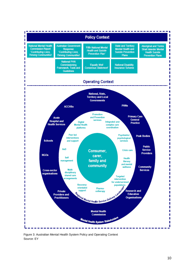

Figure 3: Australian Mental Health System Policy and Operating Context Source: EY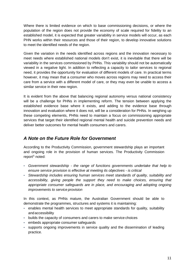Where there is limited evidence on which to base commissioning decisions, or where the population of the region does not provide the economy of scale required for fidelity to an established model, it is expected that greater variability in service models will occur, as each PHN works within their resources and those of their region, to develop innovative solutions to meet the identified needs of the region.

Given the variation in the needs identified across regions and the innovation necessary to meet needs where established national models don't exist, it is inevitable that there will be variability in the services commissioned by PHNs. This variability should not be automatically viewed in a negative light. In addition to reflecting a capacity to tailor services to regional need, it provides the opportunity for evaluation of different models of care. In practical terms however, it may mean that a consumer who moves across regions may need to access their care from a service with a different model of care, or they may even be unable to access a similar service in their new region.

It is evident from the above that balancing regional autonomy versus national consistency will be a challenge for PHNs in implementing reform. The tension between applying the established evidence base where it exists, and adding to the evidence base through innovation and evaluation where it does not, will be a consideration for PHNs. In weighing up these competing elements, PHNs need to maintain a focus on commissioning appropriate services that target their identified regional mental health and suicide prevention needs and deliver better outcomes for mental health consumers and carers.

## *A Note on the Future Role for Government*

According to the Productivity Commission, government stewardship plays an important and ongoing role in the provision of human services. The Productivity Commission report<sup>[5](#page-52-5)</sup> noted:

- *Government stewardship - the range of functions governments undertake that help to ensure service provision is effective at meeting its objectives - is critical*
- *Stewardship includes ensuring human services meet standards of quality, suitability and accessibility, giving people the support they need to make choices, ensuring that appropriate consumer safeguards are in place, and encouraging and adopting ongoing improvements to service provision*

In this context, as PHNs mature, the Australian Government should be able to demonstrate the programmes, structures and systems it is maintaining:

- enables mental health services to meet appropriate standards for quality, suitability andaccessibility
- builds the capacity of consumers and carers to make service choices
- embeds appropriate consumer safeguards
- supports ongoing improvements in service quality and the dissemination of leading practice.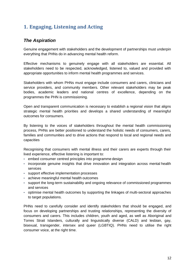# <span id="page-11-0"></span>**1. Engaging, Listening and Acting**

## *The Aspiration*

Genuine engagement with stakeholders and the development of partnerships must underpin everything that PHNs do in advancing mental health reform.

Effective mechanisms to genuinely engage with all stakeholders are essential. All stakeholders need to be respected, acknowledged, listened to, valued and provided with appropriate opportunities to inform mental health programmes and services.

Stakeholders with whom PHNs must engage include consumers and carers, clinicians and service providers, and community members. Other relevant stakeholders may be peak bodies, academic leaders and national centres of excellence, depending on the programmes the PHN is commissioning.

Open and transparent communication is necessary to establish a regional vision that aligns strategic mental health priorities and develops a shared understanding of meaningful outcomes for consumers.

By listening to the voices of stakeholders throughout the mental health commissioning process, PHNs are better positioned to understand the holistic needs of consumers, carers, families and communities and to drive actions that respond to local and regional needs and capacities

Recognising that consumers with mental illness and their carers are experts through their lived experience, effective listening is important to:

- embed consumer centred principles into programme design
- incorporate genuine insights that drive innovation and integration across mental health services
- support effective implementation processes
- achieve meaningful mental health outcomes
- support the long-term sustainability and ongoing relevance of commissioned programmes and services
- optimise mental health outcomes by supporting the linkages of multi-sectoral approaches to target populations.

PHNs need to carefully consider and identify stakeholders that should be engaged, and focus on developing partnerships and trusting relationships, representing the diversity of consumers and carers. This includes children, youth and aged, as well as Aboriginal and Torres Strait Islanders, culturally and linguistically diverse (CALD) and lesbian, gay, bisexual, transgender, intersex and queer (LGBTIQ). PHNs need to utilise the right consumer voice, at the right time.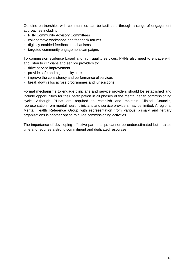Genuine partnerships with communities can be facilitated through a range of engagement approaches including:

- PHN Community Advisory Committees
- collaborative workshops and feedback forums
- digitally enabled feedback mechanisms
- targeted community engagement campaigns

To commission evidence based and high quality services, PHNs also need to engage with and listen to clinicians and service providers to:

- drive service improvement
- provide safe and high quality care
- improve the consistency and performance of services
- break down silos across programmes and jurisdictions.

Formal mechanisms to engage clinicians and service providers should be established and include opportunities for their participation in all phases of the mental health commissioning cycle. Although PHNs are required to establish and maintain Clinical Councils, representation from mental health clinicians and service providers may be limited. A regional Mental Health Reference Group with representation from various primary and tertiary organisations is another option to guide commissioning activities.

The importance of developing effective partnerships cannot be underestimated but it takes time and requires a strong commitment and dedicated resources.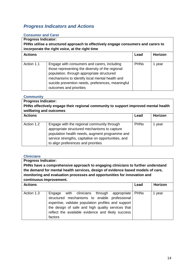## *Progress Indicators and Actions*

#### **Consumer and Carer**

**Progress Indicator: PHNs utilise a structured approach to effectively engage consumers and carers to incorporate the right voice, at the right time**

| <b>Actions</b> |                                                                                                                                                                                                                                                                                 | Lead        | Horizon |
|----------------|---------------------------------------------------------------------------------------------------------------------------------------------------------------------------------------------------------------------------------------------------------------------------------|-------------|---------|
| Action 1.1     | Engage with consumers and carers, including<br>those representing the diversity of the regional<br>population, through appropriate structured<br>mechanisms to identify local mental health and<br>suicide prevention needs, preferences, meaningful<br>outcomes and priorities | <b>PHNs</b> | year    |

#### **Community**

**Progress Indicator: PHNs effectively engage their regional community to support improved mental health wellbeing and outcomes Actions Lead Horizon** Action 1.2 Engage with the regional community through appropriate structured mechanisms to capture population health needs, augment programme and service strengths, capitalise on opportunities, and to align preferences and priorities PHNs 1 year

#### **Clinicians**

**Progress Indicator: PHNs have a comprehensive approach to engaging clinicians to further understand the demand for mental health services, design of evidence based models of care, monitoring and evaluation processes and opportunities for innovation and continuous improvement.**

| <b>Actions</b> |                                                                                                                                                                                                                                                                                | Lead | Horizon |
|----------------|--------------------------------------------------------------------------------------------------------------------------------------------------------------------------------------------------------------------------------------------------------------------------------|------|---------|
| Action 1.3     | with clinicians through appropriate PHNs<br>Engage<br>structured mechanisms to enable professional<br>expertise, validate population profiles and support<br>the design of safe and high quality services that<br>reflect the available evidence and likely success<br>factors |      | year    |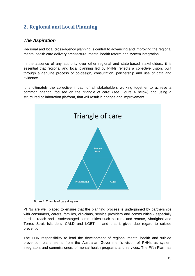# <span id="page-14-0"></span>**2. Regional and Local Planning**

## *The Aspiration*

Regional and local cross-agency planning is central to advancing and improving the regional mental health care delivery architecture, mental health reform and system integration.

In the absence of any authority over other regional and state-based stakeholders, it is essential that regional and local planning led by PHNs reflects a collective vision, built through a genuine process of co-design, consultation, partnership and use of data and evidence.

It is ultimately the collective impact of all stakeholders working together to achieve a common agenda, focused on the 'triangle of care' (see Figure 4 below) and using a structured collaboration platform, that will result in change and improvement.



Figure 4: Triangle of care diagram

PHNs are well placed to ensure that the planning process is underpinned by partnerships with consumers, carers, families, clinicians, service providers and communities - especially hard to reach and disadvantaged communities such as rural and remote, Aboriginal and Torres Strait Islanders, CALD and LGBTI – and that it gives due regard to suicide prevention.

The PHN responsibility to lead the development of regional mental health and suicide prevention plans stems from the Australian Government's vision of PHNs as system integrators and commissioners of mental health programs and services. The Fifth Plan has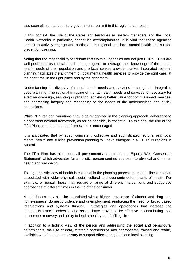also seen all state and territory governments commit to this regional approach.

In this context, the role of the states and territories as system managers and the Local Health Networks in particular, cannot be overemphasized. It is vital that these agencies commit to actively engage and participate in regional and local mental health and suicide prevention planning.

Noting that the responsibility for reform rests with all agencies and not just PHNs, PHNs are well positioned as mental health change-agents to leverage their knowledge of the mental health needs of their population and the local service provider market. Integrated regional planning facilitates the alignment of local mental health services to provide the right care, at the right time, in the right place and by the right team.

Understanding the diversity of mental health needs and services in a region is integral to good planning. The regional mapping of mental health needs and services is necessary for effective co-design, reducing duplication, achieving better value for commissioned services, and addressing inequity and responding to the needs of the underserviced and at-risk populations.

While PHN regional variations should be recognized in the planning approach, adherence to a consistent national framework, as far as possible, is essential. To this end, the use of the Fifth Plan, as a structure and framework, is encouraged.

It is anticipated that by 2023, consistent, collective and sophisticated regional and local mental health and suicide prevention planning will have emerged in all 31 PHN regions in Australia.

The Fifth Plan has also seen all governments commit to the Equally Well Consensus Statement<sup>[6](#page-52-6)</sup> which advocates for a holistic, person-centred approach to physical and mental health and well-being.

Taking a holistic view of health is essential in the planning process as mental illness is often associated with wider physical, social, cultural and economic determinants of health. For example, a mental illness may require a range of different interventions and supportive approaches at different times in the life of the consumer.

Mental illness may also be associated with a higher prevalence of alcohol and drug use, homelessness, domestic violence and unemployment, reinforcing the need for broad based interventions and systems thinking. Strategies and approaches that increase the community's social cohesion and assets have proven to be effective in contributing to a consumer's recovery and ability to lead a healthy and fulfilling life.[7](#page-52-7)

In addition to a holistic view of the person and addressing the social and behavioural determinants, the use of data, strategic partnerships and appropriately trained and readily available workforce are necessary to support effective regional and local planning.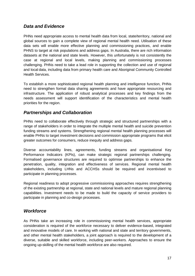## *Data and Evidence*

PHNs need appropriate access to mental health data from local, state/territory, national and global sources to gain a complete view of regional mental health need. Utilisation of these data sets will enable more effective planning and commissioning practices, and enable PHNS to target at risk populations and address gaps. In Australia, there are rich information datasets at the national and state levels. However, this unfortunately is not consistently the case at regional and local levels, making planning and commissioning processes challenging. PHNs need to take a lead role in supporting the collection and use of regional and local data, including data from primary health care and Aboriginal Community Controlled Health Services.

To establish a more sophisticated regional health planning and intelligence function, PHNs need to strengthen formal data sharing agreements and have appropriate resourcing and infrastructure. The application of robust analytical processes and key findings from the needs assessment will support identification of the characteristics and mental health priorities for the region.

## *Partnerships and Collaboration*

PHNs need to collaborate effectively through strategic and structured partnerships with a range of stakeholders in order to integrate the multiple mental health and suicide prevention funding streams and systems. Strengthening regional mental health planning processes will enable PHNs to target investment decisions and commission appropriate programs that elicit greater outcomes for consumers, reduce inequity and address gaps.

Diverse accountability lines, agreements, funding streams and organisational Key Performance Indicators (KPIs), can make strategic regional partnerships challenging. Formalised governance structures are required to optimise partnerships to enhance the penetration, quality, integration and effectiveness of services. Regional mental health stakeholders, including LHNs and ACCHSs should be required and incentivised to participate in planning processes.

Regional readiness to adopt progressive commissioning approaches requires strengthening of the existing partnership at regional, state and national levels and mature regional planning capabilities. Investment needs to be made to build the capacity of service providers to participate in planning and co-design processes.

## *Workforce*

As PHNs take an increasing role in commissioning mental health services, appropriate consideration is required of the workforce necessary to deliver evidence-based, integrated and innovative models of care. In working with national and state and territory governments, and other mental health stakeholders, a joint approach is required to the development of a diverse, suitable and skilled workforce, including peer-workers. Approaches to ensure the ongoing up-skilling of the mental health workforce are also required.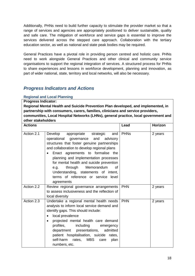Additionally, PHNs need to build further capacity to stimulate the provider market so that a range of services and agencies are appropriately positioned to deliver sustainable, quality and safe care. The mitigation of workforce and service gaps is essential to improve the services delivered across the stepped care approach. Collaboration with the tertiary education sector, as well as national and state peak bodies may be required.

General Practices have a pivotal role in providing person centred and holistic care. PHNs need to work alongside General Practices and other clinical and community service organisations to support the regional integration of services. A structured process for PHNs to share experiences and lessons in workforce development, planning and innovation, as part of wider national, state, territory and local networks, will also be necessary.

#### *Progress Indicators and Actions*

#### **Regional and Local Planning**

**Progress Indicator:** 

**Regional Mental Health and Suicide Prevention Plan developed, and implemented, in partnership with consumers, carers, families, clinicians and service providers, communities, Local Hospital Networks (LHNs), general practice, local government and other stakeholders**

| <b>Actions</b> |                                                                                                                                                                                                                                                                                                                                                                                                                                                  | Lead        | Horizon |
|----------------|--------------------------------------------------------------------------------------------------------------------------------------------------------------------------------------------------------------------------------------------------------------------------------------------------------------------------------------------------------------------------------------------------------------------------------------------------|-------------|---------|
| Action 2.1     | Develop<br>appropriate strategic<br>and<br>and<br>operational<br>governance<br>advisory<br>structures that foster genuine partnerships<br>and collaboration to develop regional plans<br>Enact agreements to formalise the<br>planning and implementation processes<br>for mental health and suicide prevention<br>through Memorandum<br>0f<br>e.g.<br>Understanding, statements of intent,<br>terms of reference or service level<br>agreements | <b>PHNs</b> | 2 years |
| Action 2.2     | Review regional governance arrangements<br>to assess inclusiveness and the reflection of<br>local diversity                                                                                                                                                                                                                                                                                                                                      | <b>PHN</b>  | 2 years |
| Action 2.3     | Undertake a regional mental health needs<br>analysis to inform local service demand and<br>identify gaps. This should include:<br>local prevalence<br>$\bullet$<br>projected mental health care demand<br>$\bullet$<br>profiles, including<br>emergency<br>admitted<br>department presentations,<br>patient hospitalisation, suicide rates,<br>self-harm rates,<br>MBS<br>care<br>plan<br>numbers, etc.                                          | <b>PHN</b>  | 2 years |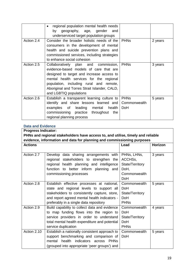|            | regional population mental health needs<br>$\bullet$<br>geography, age, gender<br>and<br>by |                        |         |
|------------|---------------------------------------------------------------------------------------------|------------------------|---------|
|            | underserviced target population groups                                                      |                        |         |
| Action 2.4 | Consider the broader holistic needs of the                                                  | <b>PHNs</b>            | 2 years |
|            | consumers in the development of mental                                                      |                        |         |
|            | health and suicide prevention plans and                                                     |                        |         |
|            | commissioned services, including strategies                                                 |                        |         |
|            | to enhance social cohesion                                                                  |                        |         |
| Action 2.5 | Collaboratively plan and commission,                                                        | <b>PHN<sub>s</sub></b> | 3 years |
|            | evidence-based models of care that are                                                      |                        |         |
|            | designed to target and increase access to                                                   |                        |         |
|            | mental health services for the regional                                                     |                        |         |
|            | population, including rural and remote,                                                     |                        |         |
|            | Aboriginal and Torres Strait Islander, CALD,                                                |                        |         |
|            | and LGBTIQ populations                                                                      |                        |         |
| Action 2.6 | Establish a transparent learning culture to                                                 | <b>PHNs</b>            | 5 years |
|            | identify and share lessons learned and                                                      | Commonwealth           |         |
|            | leading<br>examples of<br>mental health                                                     | DoH                    |         |
|            | commissioning practice throughout<br>the                                                    |                        |         |
|            | regional planning process                                                                   |                        |         |

#### **Data and Evidence**

| <b>Progress Indicator:</b> |                                                                                 |                 |         |  |
|----------------------------|---------------------------------------------------------------------------------|-----------------|---------|--|
|                            | PHNs and regional stakeholders have access to, and utilise, timely and reliable |                 |         |  |
|                            | evidence, information and data for planning and commissioning purposes          |                 |         |  |
| <b>Actions</b>             |                                                                                 | Lead            | Horizon |  |
|                            |                                                                                 |                 |         |  |
| Action 2.7                 | Develop data sharing arrangements with                                          | PHNs, LHNs,     | 3 years |  |
|                            | regional stakeholders to strengthen the                                         | ACCHSs,         |         |  |
|                            | regional health planning and intelligence                                       | State/Territory |         |  |
|                            | function to better inform planning and                                          | DoH,            |         |  |
|                            | commissioning processes                                                         | Commonwealth    |         |  |
|                            |                                                                                 | <b>DoH</b>      |         |  |
| Action 2.8                 | Establish effective processes at national,                                      | Commonwealth    | 5 years |  |
|                            | state and regional levels to support all                                        | DoH             |         |  |
|                            | stakeholders to consistently capture, store,                                    | State/Territory |         |  |
|                            | and report agreed mental health indicators -                                    | <b>DoH</b>      |         |  |
|                            | preferably in a single data repository                                          | <b>PHNs</b>     |         |  |
| Action 2.9                 | Build capability to collect data and evidence                                   | Commonwealth    | 4 years |  |
|                            | to map funding flows into the region to                                         | <b>DoH</b>      |         |  |
|                            | service providers in order to understand                                        | State/Territory |         |  |
|                            | total mental health expenditure and potential                                   | DoH             |         |  |
|                            | service duplication                                                             | <b>PHNs</b>     |         |  |
| Action 2.10                | Establish a nationally consistent approach to                                   | Commonwealth    | 5 years |  |
|                            | support benchmarking and comparison of                                          | DoH             |         |  |
|                            | health<br><i>indicators</i><br>PHNs<br>mental<br>across                         |                 |         |  |
|                            | (grouped into appropriate 'peer groups') and                                    |                 |         |  |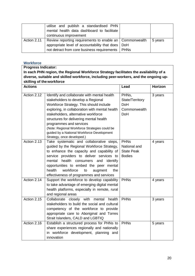|             | utilise and publish a standardised PHN<br>mental health data dashboard to facilitate<br>continuous improvement |         |
|-------------|----------------------------------------------------------------------------------------------------------------|---------|
| Action 2.11 | Review reporting requirements to enable an   Commonwealth                                                      | 5 years |
|             | appropriate level of accountability that does   DoH                                                            |         |
|             | not detract from core business requirements   PHNs                                                             |         |

#### **Workforce**

**Progress Indicator: In each PHN region, the Regional Workforce Strategy facilitates the availability of a diverse, suitable and skilled workforce, including peer-workers, and the ongoing upskilling of theworkforce**

| <b>Actions</b> |                                                                                                                                                                                                                                                                                                                                                                                                                          | Lead                                                              | Horizon |
|----------------|--------------------------------------------------------------------------------------------------------------------------------------------------------------------------------------------------------------------------------------------------------------------------------------------------------------------------------------------------------------------------------------------------------------------------|-------------------------------------------------------------------|---------|
| Action 2.12    | Identify and collaborate with mental health<br>stakeholders to develop a Regional<br>Workforce Strategy. This should include<br>exploring, in collaboration with mental health<br>stakeholders, alternative workforce<br>structures for delivering mental health<br>programmes and services<br>(Note: Regional Workforce Strategies could be<br>guided by a National Workforce Development<br>Strategy, once developed.) | PHNs,<br>State/Territory<br><b>DoH</b><br>Commonwealth<br>DoH     | 3 years |
| Action 2.13    | Take systematic and collaborative steps,<br>guided by the Regional Workforce Strategy,<br>to enhance the capacity and capability of<br>service providers to deliver services to<br>health<br>mental<br>consumers<br>and<br>identify<br>opportunities to embed the peer mental<br>health<br>workforce<br>the<br>augment<br>to<br>effectiveness of programmes and services                                                 | <b>PHNs</b><br>National and<br><b>State Peak</b><br><b>Bodies</b> | 4 years |
| Action 2.14    | Support the workforce to develop capability<br>to take advantage of emerging digital mental<br>health platforms, especially in remote, rural<br>and regional areas                                                                                                                                                                                                                                                       | <b>PHNs</b>                                                       | 4 years |
| Action 2.15    | Collaborate closely with<br>mental<br>health<br>stakeholders to build the social and cultural<br>competency of the workforce to provide<br>appropriate care to Aboriginal and Torres<br>Strait Islanders, CALD and LGBTIQ                                                                                                                                                                                                | <b>PHNs</b>                                                       | 3 years |
| Action 2.16    | Establish a structured process for PHNs to<br>share experiences regionally and nationally<br>in workforce development, planning and<br>innovation                                                                                                                                                                                                                                                                        | <b>PHNs</b>                                                       | 5 years |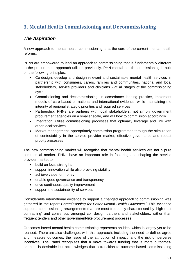# <span id="page-20-0"></span>**3. Mental Health Commissioning and Decommissioning**

## *The Aspiration*

A new approach to mental health commissioning is at the core of the current mental health reforms.

PHNs are empowered to lead an approach to commissioning that is fundamentally different to the procurement approach utilised previously. PHN mental health commissioning is built on the following principles:

- Co-design: develop and design relevant and sustainable mental health services in partnership with consumers, carers, families and communities, national and local stakeholders, service providers and clinicians - at all stages of the commissioning cycle
- Commissioning and decommissioning: in accordance leading practice, implement models of care based on national and international evidence, while maintaining the integrity of regional strategic priorities and required services
- Partnership: PHNs are partners with local stakeholders, not simply government procurement agencies on a smaller scale, and will look to commission accordingly
- Integration: utilise commissioning processes that optimally leverage and link with other local services
- Market management: appropriately commission programmes through the stimulation of contestability in the service provider market, effective governance and robust probity processes

The new commissioning market will recognise that mental health services are not a pure commercial market. PHNs have an important role in fostering and shaping the service provider market to:

- build on local strengths
- support innovation while also providing stability
- achieve value for money
- enable good governance and transparency
- drive continuous quality improvement
- support the sustainability of services

Considerable international evidence to support a changed approach to commissioning was gathered in the report *Commissioning for Better Mental Health Outcomes*. [8](#page-52-8) This evidence supports commissioning arrangements that are most frequently characterised by 'high trust contracting' and consensus amongst co- design partners and stakeholders, rather than frequent tenders and other government-like procurement processes.

Outcomes based mental health commissioning represents an ideal which is largely yet to be realised. There are also challenges with this approach, including the need to define, agree and measure outcomes, the issue of the attribution of impact, and the risk of perverse incentives. The Panel recognises that a move towards funding that is more outcomesoriented is desirable but acknowledges that a transition to outcome based commissioning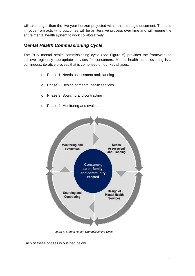will take longer than the five year horizon projected within this strategic document. The shift in focus from activity to outcomes will be an iterative process over time and will require the entire mental health system to work collaboratively.

## *Mental Health Commissioning Cycle*

The PHN mental health commissioning cycle (see Figure 5) provides the framework to achieve regionally appropriate services for consumers. Mental health commissioning is a continuous, iterative process that is comprised of four key phases:

- o Phase 1: Needs assessment andplanning
- o Phase 2: Design of mental healthservices
- o Phase 3: Sourcing and contracting
- o Phase 4: Monitoring and evaluation



 *Figure 5: Mental Health Commissioning Cycle*

Each of these phases is outlined below.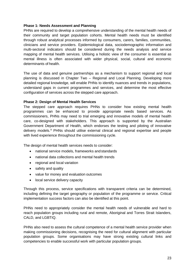#### **Phase 1: Needs Assessment and Planning**

PHNs are required to develop a comprehensive understanding of the mental health needs of their community and target population cohorts. Mental health needs must be identified through robust analytical processes informed by consumers, carers, families, communities, clinicians and service providers. Epidemiological data, sociodemographic information and multi-sectoral indicators should be considered during the needs analysis and service mapping of mental health services. Utilising a holistic view of the consumer is essential as mental illness is often associated with wider physical, social, cultural and economic determinants of health.

The use of data and genuine partnerships as a mechanism to support regional and local planning is discussed in Chapter Two – Regional and Local Planning. Developing more detailed regional knowledge, will enable PHNs to identify nuances and trends in populations, understand gaps in current programmes and services, and determine the most effective configuration of services across the stepped care approach.

#### **Phase 2: Design of Mental Health Services**

The stepped care approach requires PHNs to consider how existing mental health programmes can be enhanced to provide appropriate needs based services. As commissioners, PHNs may need to trial emerging and innovative models of mental health care, co-designed with stakeholders. This approach is supported by the Australian Government Department of Health, which endorses the testing and piloting of innovative delivery models.[9](#page-52-9) PHNs should utilise external clinical and regional expertise and people with lived experience throughout the commissioning cycle.

The design of mental health services needs to consider:

- national service models, frameworks and standards
- national data collections and mental health trends
- regional and local variation
- safety and quality
- value for money and evaluation outcomes
- local service delivery capacity

Through this process, service specifications with transparent criteria can be determined, including defining the target geography or population of the programme or service. Critical implementation success factors can also be identified at this point.

PHNs need to appropriately consider the mental health needs of vulnerable and hard to reach population groups including rural and remote, Aboriginal and Torres Strait Islanders, CALD, and LGBTIQ.

PHNs also need to assess the cultural competence of a mental health service provider when making commissioning decisions, recognising the need for cultural alignment with particular population groups. Some organisations may have strong existing cultural links and competencies to enable successful work with particular population groups.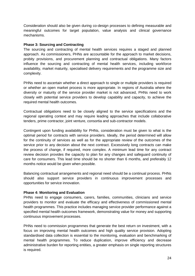Consideration should also be given during co-design processes to defining measurable and meaningful outcomes for target population, value analysis and clinical governance mechanisms.

#### **Phase 3: Sourcing and Contracting**

The sourcing and contracting of mental health services requires a staged and planned approach. As commissioners, PHNs are accountable for the approach to market decisions, probity provisions, and procurement planning and contractual obligations. Many factors influence the sourcing and contracting of mental health services, including workforce availability, market maturity, specialised delivery requirements and the programme size and complexity.

PHNs need to ascertain whether a direct approach to single or multiple providers is required or whether an open market process is more appropriate. In regions of Australia where the diversity or maturity of the service provider market is not advanced, PHNs need to work closely with potential service providers to develop capability and capacity, to achieve the required mental health outcomes.

Contractual obligations need to be closely aligned to the service specifications and the regional operating context and may require leading approaches that include collaborative tenders, prime contractor, joint venture, consortia and sub-contractor models.

Contingent upon funding availability for PHNs, consideration must be given to what is the optimal period for contracts with service providers. Ideally, the period determined will allow for the continuity of services as well as for the appropriate review of the outcomes of the service prior to any decision about the next contract. Excessively long contracts can make the process of change, if required, more complex. A minimum lead time for any contract review decision provides the capacity to plan for any changes and safeguard continuity of care for consumers. This lead time should be no shorter than 6 months, and preferably 12 months notice would be given when possible.

Balancing contractual arrangements and regional need should be a continual process. PHNs should also support service providers in continuous improvement processes and opportunities for service innovation.

#### **Phase 4: Monitoring and Evaluation**

PHNs need to engage consumers, carers, families, communities, clinicians and service providers to monitor and evaluate the efficacy and effectiveness of commissioned mental health programmes. This practice includes managing service provider performance against a specified mental health outcomes framework, demonstrating value for money and supporting continuous improvement processes.

PHNs need to commission programmes that generate the best return on investment, with a focus on improving mental health outcomes and high quality service provision. Adopting standardised data collection is essential to the monitoring, evaluation and benchmarking of mental health programmes. To reduce duplication, improve efficiency and decrease administrative burden for reporting entities, a greater emphasis on single reporting structures is required.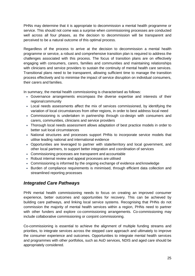PHNs may determine that it is appropriate to decommission a mental health programme or service. This should not come was a surprise when commissioning processes are conducted well across all four phases, as the decision to decommission will be transparent and perceived to be a natural outcome of this optimal process.

Regardless of the process to arrive at the decision to decommission a mental health programme or service, a robust and comprehensive transition plan is required to address the challenges associated with this process. The focus of transition plans are on effectively engaging with consumers, carers, families and communities and maintaining relationships with clinicians and service providers to sustain the continuity of mental health care services. Transitional plans need to be transparent, allowing sufficient time to manage the transition process effectively and to minimise the impact of service disruption on individual consumers, their carers and families.

In summary, the mental health commissioning is characterised as follows:

- Governance arrangements encompass the diverse expertise and interests of their regionalcommunity
- Local needs assessments affect the mix of services commissioned, by identifying the variation of local circumstances from other regions, in order to best address local need
- Commissioning is undertaken in partnership through co-design with consumers and carers, communities, clinicians and service providers
- Thorough local needs assessment allows adaptation of best practice models in order to better suit local circumstances
- National structures and processes support PHNs to incorporate service models that utilise leading national and international evidence
- Opportunities are leveraged to partner with state/territory and local government, and other local partners, to support better integration and coordination of services
- Commissioning processes are transparent and accountable
- Robust internal review and appeal processes are utilised
- Commissioning is informed by the ongoing exchange of evidence and knowledge
- Burden of compliance requirements is minimised, through efficient data collection and streamlined reporting processes

## *Integrated Care Pathways*

PHN mental health commissioning needs to focus on creating an improved consumer experience, better outcomes and opportunities for recovery. This can be achieved by building care pathways, and linking local service systems. Recognising that PHNs do not commission the majority of mental health services within a region, PHNs need to partner with other funders and explore co-commissioning arrangements. Co-commissioning may include collaborative commissioning or conjoint commissioning.

Co-commissioning is essential to achieve the alignment of multiple funding streams and priorities, to integrate services across the stepped care approach and ultimately to improve the consumer experience and outcomes. Opportunities to integrate mental health services and programmes with other portfolios, such as AoD services, NDIS and aged care should be appropriately considered.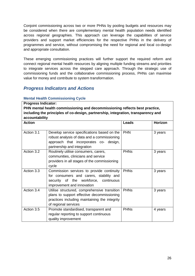Conjoint commissioning across two or more PHNs by pooling budgets and resources may be considered when there are complementary mental health population needs identified across regional geographies. This approach can leverage the capabilities of service providers and support market efficiencies for the respective PHNs in the delivery of programmes and service, without compromising the need for regional and local co-design and appropriate consultation.

These emerging commissioning practices will further support the required reform and connect regional mental health resources by aligning multiple funding streams and priorities to integrate services across the stepped care approach. Through the strategic use of commissioning funds and the collaborative commissioning process, PHNs can maximise value for money and contribute to system transformation.

## *Progress Indicators and Actions*

#### **Mental Health Commissioning Cycle**

**Progress Indicator: PHN mental health commissioning and decommissioning reflects best practice, including the principles of co-design, partnership, integration, transparency and accountability**

| <b>Action</b>           |                                                                                                                                                                     | <b>Leads</b> | Horizon |
|-------------------------|---------------------------------------------------------------------------------------------------------------------------------------------------------------------|--------------|---------|
| Action $3.\overline{1}$ | Develop service specifications based on the<br>robust analysis of data and a commissioning<br>approach that incorporates co- design,<br>partnership and integration | <b>PHN</b>   | 3 years |
| Action 3.2              | Routinely utilise consumers, carers,<br>communities, clinicians and service<br>providers in all stages of the commissioning<br>cycle                                | <b>PHNs</b>  | 3 years |
| Action 3.3              | Commission services to provide continuity<br>for consumers and carers, stability and<br>security of the workforce,<br>continuous<br>improvement and innovation      | <b>PHNs</b>  | 3 years |
| Action 3.4              | Utilise structured, comprehensive transition<br>plans to support effective decommissioning<br>practices including maintaining the integrity<br>of regional services | <b>PHNs</b>  | 3 years |
| Action 3.5              | Promote standardised, transparent and<br>regular reporting to support continuous<br>quality improvement                                                             | <b>PHNs</b>  | 4 years |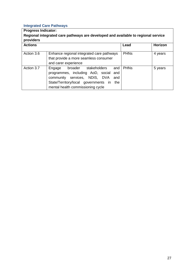## **Integrated Care Pathways**

| <b>Progress Indicator:</b><br>Regional integrated care pathways are developed and available to regional service<br>providers |                                                                                                                                                                                                            |             |         |
|------------------------------------------------------------------------------------------------------------------------------|------------------------------------------------------------------------------------------------------------------------------------------------------------------------------------------------------------|-------------|---------|
| <b>Actions</b>                                                                                                               |                                                                                                                                                                                                            | Lead        | Horizon |
| Action 3.6                                                                                                                   | Enhance regional integrated care pathways<br>that provide a more seamless consumer<br>and carer experience                                                                                                 | <b>PHNs</b> | 4 years |
| Action 3.7                                                                                                                   | Engage broader stakeholders<br>and<br>programmes, including AoD, social<br>and<br>community services, NDIS, DVA<br>and<br>State/Territory/local governments in<br>the<br>mental health commissioning cycle | <b>PHNs</b> | 5 years |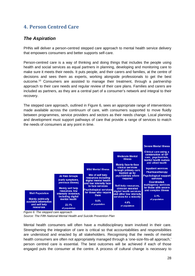# <span id="page-27-0"></span>**4. Person Centred Care**

## *The Aspiration*

PHNs will deliver a person-centred stepped care approach to mental health service delivery that empowers consumers and better supports self-care.

Person-centred care is a way of thinking and doing things that includes the people using health and social services as equal partners in planning, developing and monitoring care to make sure it meets their needs. It puts people, and their carers and families, at the centre of decisions and sees them as experts, working alongside professionals to get the best outcome.[10](#page-52-10) Consumers are assisted to manage their treatment, through a partnership approach to their care needs and regular review of their care plans. Families and carers are included as partners, as they are a central part of a consumer's network and integral to their recovery.

The stepped care approach, outlined in Figure 6, sees an appropriate range of interventions made available across the continuum of care, with consumers supported to move fluidly between programmes, service providers and sectors as their needs change. Local planning and development must support pathways of care that provide a range of services to match the needs of consumers at any point in time.



*Figure 6: The stepped care approach Source: The Fifth National Mental Health and Suicide Prevention Plan*

Mental health consumers will often have a multidisciplinary team involved in their care. Strengthening the integration of care is critical so that accountabilities and responsibilities are understood and enacted by all stakeholders. Recognising that the needs of mental health consumers are often not appropriately managed through a 'one-size-fits-all approach,' person centred care is essential. The best outcomes will be achieved if each of those engaged puts the consumer at the centre. A process of cultural change is necessary to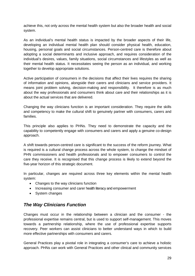achieve this, not only across the mental health system but also the broader health and social system.

As an individual's mental health status is impacted by the broader aspects of their life, developing an individual mental health plan should consider physical health, education, housing, personal goals and social circumstances. Person-centred care is therefore about adopting a social determinants and inclusive approach, and requires consideration of the individual's desires, values, family situations, social circumstances and lifestyles as well as their mental health status. It necessitates seeing the person as an individual, and working together to develop appropriate solutions.

Active participation of consumers in the decisions that affect their lives requires the sharing of information and opinions, alongside their carers and clinicians and service providers. It means joint problem solving, decision-making and responsibility. It therefore is as much about the way professionals and consumers think about care and their relationships as it is about the actual services that are delivered.

Changing the way clinicians function is an important consideration. They require the skills and competency to make the cultural shift to genuinely partner with consumers, carers and families.

This principle also applies to PHNs. They need to demonstrate the capacity and the capability to competently engage with consumers and carers and apply a genuine co-design approach.

A shift towards person-centred care is significant to the success of the reform journey. What is required is a cultural change process across the whole system, to change the mindset of PHN commissioners and health professionals and to empower consumers to control the care they receive. It is recognised that this change process is likely to extend beyond the five-year horizon of this strategic document.

In particular, changes are required across three key elements within the mental health system:

- Changes to the way clinicians function
- Increasing consumer and carer health literacy and empowerment
- System changes

## *The Way Clinicians Function*

Changes must occur in the relationship between a clinician and the consumer - the professional expertise remains central, but is used to support self-management. This moves towards a partnership relationship, where the use of professional expertise supports recovery. Peer workers can assist clinicians to better understand ways in which to build more effective partnerships with consumers and carers.

General Practices play a pivotal role in integrating a consumer's care to achieve a holistic approach. PHNs can work with General Practices and other clinical and community services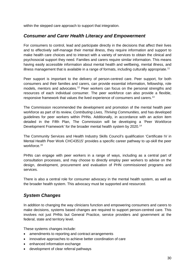within the stepped care approach to support that integration.

## *Consumer and Carer Health Literacy and Empowerment*

For consumers to control, lead and participate directly in the decisions that affect their lives and to effectively self-manage their mental illness, they require information and support to make health care choices and to interact with a variety of services to obtain the clinical and psychosocial support they need. Families and carers require similar information. This means having easily accessible information about mental health and wellbeing, mental illness, and illness management that is available in a range of formats, including culturally appropriate.<sup>[11](#page-52-11)</sup>

Peer support is important to the delivery of person-centred care. Peer support, for both consumers and their families and carers, can provide essential information, fellowship, role models, mentors and advocates.<sup>[12](#page-52-12)</sup> Peer workers can focus on the personal strengths and resources of each individual consumer. The peer workforce can also provide a flexible, responsive framework that values the lived experience of consumers and carers.[13](#page-52-13)

The Commission recommended the development and promotion of the mental health peer workforce as part of its review, *Contributing Lives, Thriving Communities,* and has developed guidelines for peer workers within PHNs. Additionally, in accordance with an action item detailed in the Fifth Plan, The Commission will be developing a 'Peer Workforce Development Framework' for the broader mental health system by 2020.<sup>[14](#page-52-14)</sup>

The Community Services and Health Industry Skills Council's qualification 'Certificate IV in Mental Health Peer Work CHC43515' provides a specific career pathway to up-skill the peer workforce. [15](#page-52-15)

PHNs can engage with peer workers in a range of ways, including as a central part of consultation processes, and may choose to directly employ peer workers to advise on the design, development, procurement and evaluation of PHN commissioned programs and services.

There is also a central role for consumer advocacy in the mental health system, as well as the broader health system. This advocacy must be supported and resourced.

## *System Changes*

In addition to changing the way clinicians function and empowering consumers and carers to make decisions, systems based changes are required to support person-centred care. This involves not just PHNs but General Practice, service providers and government at the federal, state and territory level.

These systems changes include:

- amendments to reporting and contract arrangements
- innovative approaches to achieve better coordination of care
- enhanced information exchange
- development of clear referral pathways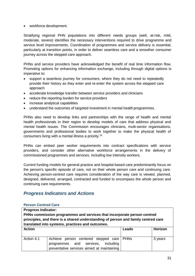• workforce development.

Stratifying regional PHN populations into different needs groups (well, at-risk, mild, moderate, severe) identifies the necessary interventions required to drive programme and service level improvements. Coordination of programmes and service delivery is essential, particularly at transition points, in order to deliver seamless care and a smoother consumer journey across the stepped care approach.

PHNs and service providers have acknowledged the benefit of real time information flow. Promoting options for enhancing information exchange, including through digital options is imperative to:

- support a seamless journey for consumers, where they do not need to repeatedly provide their history as they enter and re-enter the system across the stepped care approach
- accelerate knowledge transfer between service providers and clinicians
- reduce the reporting burden for service providers
- increase analytical capabilities
- understand the outcomes of targeted investment in mental health programmes.

PHNs also need to develop links and partnerships with the range of health and mental health professionals in their region to develop models of care that address physical and mental health issues. The Commission encourages clinicians, multi-sector organisations, governments and professional bodies to work together to make the physical health of consumers living with a mental illness a priority.[16](#page-52-16)

PHNs can embed peer worker requirements into contract specifications with service providers, and consider other alternative workforce arrangements in the delivery of commissioned programmes and services, including low intensity workers.

Current funding models for general practice and hospital-based care predominantly focus on the person's specific episode of care, not on their whole person care and continuing care. Achieving person-centred care requires consideration of the way care is viewed, planned, designed, delivered, arranged, contracted and funded to encompass the whole person and continuing care requirements.

## *Progress Indicators and Actions*

#### **Person Centred Care**

| <b>Action</b>                                                                     | Leads | Horizon |  |
|-----------------------------------------------------------------------------------|-------|---------|--|
| translated into systems, practices and outcomes.                                  |       |         |  |
| principles, and there is a shared understanding of person and family centred care |       |         |  |
| PHNs commission programmes and services that incorporate person centred           |       |         |  |
| <b>Progress Indicator:</b>                                                        |       |         |  |

| Action 4.1 | Achieve person centered stepped care PHNs<br>programmes and services, including<br>preventative services aimed at maintaining | 3 years |
|------------|-------------------------------------------------------------------------------------------------------------------------------|---------|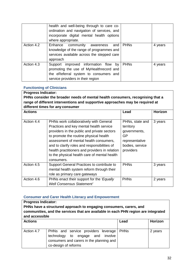|            | health and well-being through to care co-<br>ordination and navigation of services, and<br>incorporate digital mental health options<br>where appropriate.    |             |         |
|------------|---------------------------------------------------------------------------------------------------------------------------------------------------------------|-------------|---------|
| Action 4.2 | Enhance community awareness<br>and<br>knowledge of the range of programmes and<br>services available across the stepped care<br>approach                      | <b>PHNs</b> | 4 years |
| Action 4.3 | Support improved information flow by<br>promoting the use of MyHealthrecord and<br>the eReferral system to consumers and<br>service providers in their region | <b>PHNs</b> | 4 years |

#### **Functioning of Clinicians**

**Progress Indicator: PHNs consider the broader needs of mental health consumers, recognising that a range of different interventions and supportive approaches may be required at different times for any consumer**

| <b>Actions</b> |                                                | Lead            | <b>Horizon</b> |
|----------------|------------------------------------------------|-----------------|----------------|
|                |                                                |                 |                |
| Action 4.4     | PHNs work collaboratively with General         | PHNs, state and | 3 years        |
|                | Practices and key mental health service        | territory       |                |
|                | providers in the public and private sectors    | governments,    |                |
|                | to promote the routine physical health         | GP              |                |
|                | assessment of mental health consumers,         | representative  |                |
|                | and to clarify roles and responsibilities of   | bodies, service |                |
|                | health practitioners and providers in relation | providers       |                |
|                | to the physical health care of mental health   |                 |                |
|                | consumers.                                     |                 |                |
| Action 4.5     | Support General Practices to contribute to     | <b>PHNs</b>     | 3 years        |
|                | mental health system reform through their      |                 |                |
|                | role as primary care gateways                  |                 |                |
| Action 4.6     | PHNs enact their support for the 'Equally      | <b>PHNs</b>     | 2 years        |
|                | <b>Well Consensus Statement'</b>               |                 |                |

#### **Consumer and Carer Health Literacy and Empowerment**

| <b>Progress Indicator:</b><br>PHNs have a structured approach to engaging consumers, carers, and<br>communities, and the services that are available in each PHN region are integrated<br>and accessible |                                                                                                                                             |             |         |  |
|----------------------------------------------------------------------------------------------------------------------------------------------------------------------------------------------------------|---------------------------------------------------------------------------------------------------------------------------------------------|-------------|---------|--|
| <b>Actions</b>                                                                                                                                                                                           |                                                                                                                                             | Lead        | Horizon |  |
| Action 4.7                                                                                                                                                                                               | PHNs and service providers leverage<br>technology to engage and involve<br>consumers and carers in the planning and<br>co-design of reforms | <b>PHNs</b> | 2 years |  |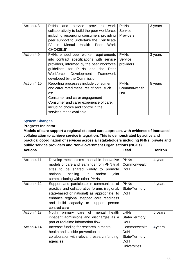| Action 4.8  | <b>PHNs</b><br>service<br>and<br>providers<br>work<br>collaboratively to build the peer workforce,<br>including resourcing consumers providing<br>peer support to undertake the 'Certificate'<br>Mental Health<br>in<br>Peer<br>Work<br>IV.<br>CHC43515' | <b>PHNs</b><br>Service<br>Providers | 3 years |
|-------------|----------------------------------------------------------------------------------------------------------------------------------------------------------------------------------------------------------------------------------------------------------|-------------------------------------|---------|
| Action 4.9  | PHNs embed peer worker requirements<br>into contract specifications with service<br>providers, informed by the peer workforce<br>guidelines for PHNs and the Peer<br>Workforce Development Framework<br>developed by the Commission.                     | <b>PHNs</b><br>Service<br>providers | 3 years |
| Action 4.10 | Reporting processes include consumer<br>and carer rated measures of care, such<br>as:<br>Consumer and carer engagement<br>Consumer and carer experience of care,<br>including choice and control in the<br>services made available                       | <b>PHNs</b><br>Commonwealth<br>DoH  | 5 years |

#### **System Changes**

**Progress Indicator: Models of care support a regional stepped care approach, with evidence of increased collaboration to achieve service integration. This is demonstrated by active and practical coordination of services across all stakeholders including PHNs, private and public service providers and Non-Government Organisations (NGOs) Actions Lead Horizon** Action 4.11 Develop mechanisms to enable innovative models of care and learnings from PHN trial sites to be shared widely to promote national scaling up and/or joint commissioning with other PHNs PHNs **Commonwealth** DoH 4 years Action 4.12 Support and participate in communities of practice and collaborative forums (regional, state-based or national) as appropriate, to enhance regional stepped care readiness and build capacity to support person centred care **PHNs** State/Territory DoH 4 years Action 4.13 | Notify primary care of mental health inpatient admissions and discharges as a part of real-time information flow. LHNs State/Territory DoH 5 years Action 4.14 | Increase funding for research in mental health and suicide prevention in collaboration with relevant research funding agencies **Commonwealth** DoH State/Territory DoH **Universities** 4years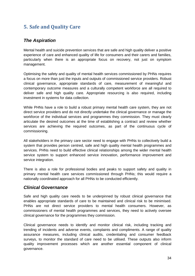# <span id="page-33-0"></span>**5. Safe and Quality Care**

## *The Aspiration*

Mental health and suicide prevention services that are safe and high quality deliver a positive experience of care and enhanced quality of life for consumers and their carers and families, particularly when there is an appropriate focus on recovery, not just on symptom management.

Optimising the safety and quality of mental health services commissioned by PHNs requires a focus on more than just the inputs and outputs of commissioned service providers. Robust clinical governance, appropriate standards of care, measurement of meaningful and contemporary outcome measures and a culturally competent workforce are all required to deliver safe and high quality care. Appropriate resourcing is also required, including investment in systems for data collection.

While PHNs have a role to build a robust primary mental health care system, they are not direct service providers and do not directly undertake the clinical governance or manage the workforce of the individual services and programmes they commission. They must clearly articulate the desired outcomes at the time of establishing a contract and review whether services are achieving the required outcomes, as part of the continuous cycle of commissioning.

All stakeholders in the primary care sector need to engage with PHNs to collectively build a system that provides person centred, safe and high quality mental health programmes and services. PHNs need to build effective clinical relationships among the wider mental health service system to support enhanced service innovation, performance improvement and service integration.

There is also a role for professional bodies and peaks to support safety and quality in primary mental health care services commissioned through PHNs; this would require a nationally coordinated approach for all PHNs to be conducted efficiently.

## *Clinical Governance*

Safe and high quality care needs to be underpinned by robust clinical governance that enables appropriate standards of care to be maintained and clinical risk to be minimised. PHNs are not direct service providers to mental health consumers. However, as commissioners of mental health programmes and services, they need to actively oversee clinical governance for the programmes they commission.

Clinical governance needs to identify and monitor clinical risk, including tracking and trending of incidents and adverse events, complaints and compliments. A range of quality assurance measures, including clinical audits, credentialing and consumer feedback surveys, to monitor the standard of care need to be utilised. These outputs also inform quality improvement processes which are another essential component of clinical governance.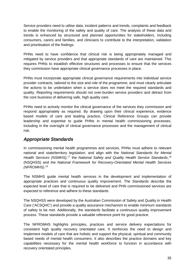Service providers need to utilise data, incident patterns and trends, complaints and feedback to enable the monitoring of the safety and quality of care. The analysis of these data and trends is enhanced by structured and planned opportunities for stakeholders, including consumers, carers and families, and clinicians to contribute to the interpretation, validation and prioritisation of the findings.

PHNs need to have confidence that clinical risk is being appropriately managed and mitigated by service providers and that appropriate standards of care are maintained. This requires PHNs to establish effective structures and processes to ensure that the services they commission have appropriate clinical governance processes in place.

PHNs must incorporate appropriate clinical governance requirements into individual service provider contracts, tailored to the size and role of the programme; and must clearly articulate the actions to be undertaken when a service does not meet the required standards and quality. Reporting requirements should not over-burden service providers and detract from the core business of delivering safe, high quality care.

PHNs need to actively monitor the clinical governance of the services they commission and respond appropriately as required. By drawing upon their clinical experience, evidence based models of care and leading practice, Clinical Reference Groups can provide leadership and expertise to guide PHNs in mental health commissioning processes, including in the oversight of clinical governance processes and the management of clinical risk.

## *Appropriate Standards*

In commissioning mental health programmes and services, PHNs must adhere to relevant national and state/territory legislation, and align with the *National Standards for Mental Health Services (NSMHS),[17](#page-52-17)* the *National Safety and Quality Health Service Standards*, [18](#page-52-18) (NSQHSS) and the *National Framework for Recovery-Orientated Mental Health Services (NFROMHS)*. [19](#page-52-19)

The NSMHS guide mental health services in the development and implementation of appropriate practices and continuous quality improvement. The Standards describe the expected level of care that is required to be delivered and PHN commissioned services are expected to reference and adhere to these standards.

The NSQHSS were developed by the Australian Commission of Safety and Quality in Health Care ('ACSQHC') and provide a quality assurance mechanism to enable minimum standards of safety to be met. Additionally, the standards facilitate a continuous quality improvement process. These standards provide a valuable reference point for good practice.

The NFROMHS highlights principles, practices and service delivery expectations for consistent high quality recovery orientated care. It reinforces the need to design and implement models of care that are holistic and support the physical, spiritual and community based needs of mental health consumers. It also describes the practice domains and key capabilities necessary for the mental health workforce to function in accordance with recovery orientated principles.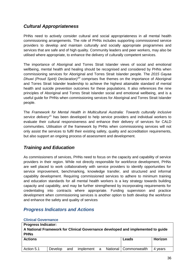## *Cultural Appropriateness*

PHNs need to actively consider cultural and social appropriateness in all mental health commissioning arrangements. The role of PHNs includes supporting commissioned service providers to develop and maintain culturally and socially appropriate programmes and services that are safe and of high quality. Community leaders and peer workers, may also be utilised where appropriate, to enhance the delivery of culturally competent services.

The importance of Aboriginal and Torres Strait Islander views of social and emotional wellbeing, mental health and healing should be recognised and considered by PHNs when commissioning services for Aboriginal and Torres Strait Islander people. The *2015 Gayaa Dhuwi (Proud Spirit) Declaration)[20](#page-53-0)* comprises five themes on the importance of Aboriginal and Torres Strait Islander leadership to achieve the highest attainable standard of mental health and suicide prevention outcomes for these populations. It also references the nine principles of Aboriginal and Torres Strait Islander social and emotional wellbeing, and is a useful guide for PHNs when commissioning services for Aboriginal and Torres Strait Islander people.

The *Framework for Mental Health in Multicultural Australia: Towards culturally inclusive service delivery[21](#page-53-1)* has been developed to help service providers and individual workers to evaluate their cultural responsiveness and enhance their delivery of services for CALD communities. Utilisation of the framework by PHNs when commissioning services will not only assist the services to fulfil their existing safety, quality and accreditation requirements, but also support an ongoing process of assessment and development.

## *Training and Education*

As commissioners of services, PHNs need to focus on the capacity and capability of service providers in their region. While not directly responsible for workforce development, PHNs are well placed to work collaboratively with service providers to identify opportunities for service improvement, benchmarking, knowledge transfer, and structured and informal capability development. Requiring commissioned services to adhere to minimum training and education standards for all mental health workers is a key strategy towards building capacity and capability, and may be further strengthened by incorporating requirements for credentialing into contracts where appropriate. Funding supervision and practice development when commissioning services is another option to both develop the workforce and enhance the safety and quality of services

## *Progress Indicators and Actions*

| <b>Progress Indicator:</b><br>A National Framework for Clinical Governance developed and implemented to guide<br><b>PHNs</b> |         |     |             |  |  |                         |         |
|------------------------------------------------------------------------------------------------------------------------------|---------|-----|-------------|--|--|-------------------------|---------|
| <b>Actions</b><br>Horizon<br>Leads                                                                                           |         |     |             |  |  |                         |         |
| Action 5.1                                                                                                                   | Develop | and | implement a |  |  | National   Commonwealth | 4 years |

#### **Clinical Governance**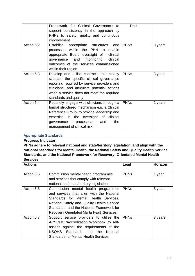|            | Framework for Clinical Governance to         | <b>DoH</b>  |         |
|------------|----------------------------------------------|-------------|---------|
|            | support consistency in the approach by       |             |         |
|            | PHNs to safety, quality and continuous       |             |         |
|            | improvement                                  |             |         |
| Action 5.2 | Establish appropriate structures<br>and      | <b>PHNs</b> | 3 years |
|            | processes within the PHN to enable           |             |         |
|            | appropriate Board oversight of clinical      |             |         |
|            | governance and monitoring<br>clinical        |             |         |
|            | outcomes of the services commissioned        |             |         |
|            | within their region                          |             |         |
| Action 5.3 | Develop and utilise contracts that clearly   | <b>PHNs</b> | 3 years |
|            | stipulate the specific clinical governance   |             |         |
|            | reporting required by service providers and  |             |         |
|            | clinicians, and articulate potential actions |             |         |
|            | when a service does not meet the required    |             |         |
|            | standards and quality                        |             |         |
| Action 5.4 | Routinely engage with clinicians through a   | <b>PHNs</b> | 2 years |
|            | formal structured mechanism e.g. a Clinical  |             |         |
|            | Reference Group, to provide leadership and   |             |         |
|            | expertise in the oversight of clinical       |             |         |
|            | the<br>governance processes<br>and           |             |         |
|            | management of clinical risk.                 |             |         |

#### **Appropriate Standards**

**Progress Indicator: PHNs adhere to relevant national and state/territory legislation, and align with the National Standards for Mental Health, the National Safety and Quality Health Service Standards, and the National Framework for Recovery- Orientated Mental Health Services**

| <b>Actions</b> |                                                                                                                                                                                                                                                                     | Lead        | <b>Horizon</b> |
|----------------|---------------------------------------------------------------------------------------------------------------------------------------------------------------------------------------------------------------------------------------------------------------------|-------------|----------------|
| Action 5.5     | Commission mental health programmes<br>and services that comply with relevant<br>national and state/territory legislation                                                                                                                                           | <b>PHNs</b> | 1 year         |
| Action 5.6     | Commission mental health programmes<br>and services that align with the National<br>Standards for Mental Health Services,<br>National Safely and Quality Health Service<br>Standards, and the National Framework for<br>Recovery Orientated Mental Health Services. | <b>PHNs</b> | 3 years        |
| Action 5.7     | Support service providers to utilise the<br>ACSQHC 'Accreditation Workbook' to self-<br>assess against the requirements of the<br>NSQHS Standards and the National<br><b>Standards for Mental Health Services</b>                                                   | <b>PHNs</b> | 3 years        |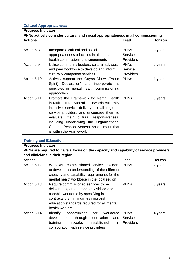#### **Cultural Appropriateness**

| <b>Progress Indicator:</b>                                                      |                                                |                  |         |  |  |  |
|---------------------------------------------------------------------------------|------------------------------------------------|------------------|---------|--|--|--|
| PHNs actively consider cultural and social appropriateness in all commissioning |                                                |                  |         |  |  |  |
| <b>Actions</b>                                                                  |                                                | Lead             | Horizon |  |  |  |
|                                                                                 |                                                |                  |         |  |  |  |
| Action 5.8                                                                      | Incorporate cultural and social                | <b>PHNs</b>      | 3 years |  |  |  |
|                                                                                 | appropriateness principles in all mental       | Service          |         |  |  |  |
|                                                                                 | health commissioning arrangements              | <b>Providers</b> |         |  |  |  |
| Action 5.9                                                                      | Utilise community leaders, cultural advisors   | <b>PHNs</b>      | 2 years |  |  |  |
|                                                                                 | and peer workforce to develop and inform       | Service          |         |  |  |  |
|                                                                                 | culturally competent services                  | <b>Providers</b> |         |  |  |  |
| Action 5.10                                                                     | Actively support the 'Gayaa Dhuwi (Proud       | <b>PHNs</b>      | 1 year  |  |  |  |
|                                                                                 | Spirit) Declaration' and incorporate its       |                  |         |  |  |  |
|                                                                                 | principles in mental health commissioning      |                  |         |  |  |  |
|                                                                                 | approaches                                     |                  |         |  |  |  |
| Action 5.11                                                                     | Promote the 'Framework for Mental Health       | <b>PHNs</b>      | 3 years |  |  |  |
|                                                                                 | in Multicultural Australia: Towards culturally |                  |         |  |  |  |
|                                                                                 | inclusive service delivery' to all regional    |                  |         |  |  |  |
|                                                                                 | service providers and encourage them to        |                  |         |  |  |  |
|                                                                                 | evaluate their cultural responsiveness,        |                  |         |  |  |  |
|                                                                                 | including undertaking the Organisational       |                  |         |  |  |  |
|                                                                                 | Cultural Responsiveness Assessment that        |                  |         |  |  |  |
|                                                                                 | is within the Framework                        |                  |         |  |  |  |

#### **Training and Education**

#### **Progress Indicator: PHNs are required to have a focus on the capacity and capability of service providers and clinicians in their region**

| Actions     |                                                                                                                                                                                                                               | Lead                                | Horizon |
|-------------|-------------------------------------------------------------------------------------------------------------------------------------------------------------------------------------------------------------------------------|-------------------------------------|---------|
| Action 5.12 | Work with commissioned service providers<br>to develop an understanding of the different<br>capacity and capability requirements for the                                                                                      | <b>PHNs</b>                         | 2 years |
|             | mental health workforce in the local region                                                                                                                                                                                   |                                     |         |
| Action 5.13 | Require commissioned services to be<br>delivered by an appropriately skilled and<br>capable workforce by specifying in<br>contracts the minimum training and<br>education standards required for all mental<br>health workers | <b>PHNs</b>                         | 3 years |
| Action 5.14 | for<br>workforce<br>Identify<br>opportunities<br>development<br>education<br>through<br>and<br>in<br>training<br>established<br>networks<br>collaboration with service providers                                              | <b>PHNs</b><br>Service<br>Providers | 4 years |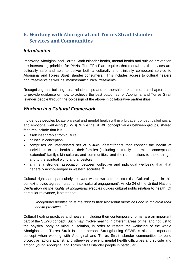## <span id="page-38-0"></span>**6. Working with Aboriginal and Torres Strait Islander Services and Communities**

#### *Introduction*

Improving Aboriginal and Torres Strait Islander health, mental health and suicide prevention are intersecting priorities for PHNs. The Fifth Plan requires that mental health services are culturally safe and able to deliver both a culturally and clinically competent service to Aboriginal and Torres Strait Islander consumers. This includes access to cultural healers and treatments as well as 'mainstream' clinical treatments.

Recognising that building trust, relationships and partnerships takes time, this chapter aims to provide guidance on how to achieve the best outcomes for Aboriginal and Torres Strait Islander people through the co-design of the above in collaborative partnerships.

## *Working in a Cultural Framework*

Indigenous peoples locate physical and mental health within a broader concept called social and emotional wellbeing (SEWB). While the SEWB concept varies between groups, shared features include that it is:

- itself inseparable from culture
- holistic in conception
- comprises an inter-related set of *cultural determinants* that connect the health of individuals to the 'health' of their families (including culturally determined concepts of 'extended' family), kin cultures and communities, and their connections to these things, and to the spiritual world and ancestors
- affirms a stronger association between collective and individual wellbeing than that generally acknowledged in western societies. [22](#page-53-2)

Cultural rights are particularly relevant when two cultures co-exist. Cultural rights in this context provide agreed 'rules for inter-cultural engagement'. Article 24 of the United Nations *Declaration on the Rights of Indigenous Peoples* guides cultural rights relation to health. Of particular relevance, it states that:

#### *Indigenous peoples have the right to their traditional medicines and to maintain their health practices...*<sup>[23](#page-53-3)</sup>

Cultural healing practices and healers, including their contemporary forms, are an important part of the SEWB concept. Such may involve healing in different areas of life, and not just to the physical body or mind in isolation, in order to restore the wellbeing of the whole Aboriginal and Torres Strait Islander person. Strengthening SEWB is also an important concept when working with Aboriginal and Torres Strait Islander communities to build protective factors against, and otherwise prevent, mental health difficulties and suicide and among young Aboriginal and Torres Strait Islander people in particular.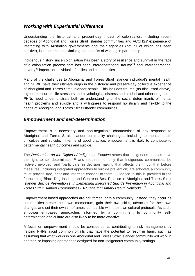## *Working with Experiential Difference*

Understanding the historical and present-day impact of colonisation, including recent decades of Aboriginal and Torres Strait Islander communities and ACCHSs' experience of interacting with Australian governments and their agencies (not all of which has been positive), is important in maximising the benefits of working in partnership.

Indigenous history since colonisation has been a story of resilience and survival in the face of a colonisation process that has seen intergenerational trauma<sup>[24](#page-53-4)</sup> and intergenerational poverty<sup>[25](#page-53-5)</sup> impact on individuals, families and communities.

Many of the challenges to Aboriginal and Torres Strait Islander individual's mental health and SEWB have their ultimate origin in the historical and present-day collective experience of Aboriginal and Torres Strait Islander people. This includes trauma (as discussed above), higher exposure to life stressors and psychological distress and alcohol and other drug use. PHNs need to demonstrate both an understanding of the social determinants of mental health problems and suicide and a willingness to respond holistically and flexibly to the needs of Aboriginal and Torres Strait Islander communities.

#### *Empowerment and self-determination*

Empowerment is a necessary and non-negotiable characteristic of any response to Aboriginal and Torres Strait Islander community challenges, including to mental health difficulties and suicide. In terms of good practice, empowerment is likely to contribute to better mental health outcomes and suicide.

The *Declaration on the Rights of Indigenous Peoples* states that Indigenous peoples have the right to self-determination<sup>[26](#page-53-6)</sup> and requires not only that Indigenous communities be 'actively involved' and 'participate' in decision making that affects them, but that before measures (including integrated approaches to suicide prevention) are adopted, a community must provide free, prior and informed consent to them. Guidance to this is provided in the forthcoming Black Dog Institute and Centre of Best Practice in Aboriginal and Torres Strait Islander Suicide Prevention's '*Implementing Integrated Suicide Prevention in Aboriginal and Torres Strait Islander Communities - A Guide for Primary Health Networks'*. [27](#page-53-7)

Empowerment based approaches are not 'forced' onto a community; instead, they occur as communities create their own momentum, gain their own skills, advocate for their own changes and set their own timeframes, compatible with their own cultural protocols. As such, empowerment-based approaches informed by a commitment to community selfdetermination and culture are also likely to be more effective.

A focus on empowerment should be considered as contributing to risk management by helping PHNs avoid common pitfalls that have the potential to result in harm, such as assuming that what works in one Aboriginal and Torres Strait Islander community will work in another, or imposing approaches designed for non-Indigenous community settings.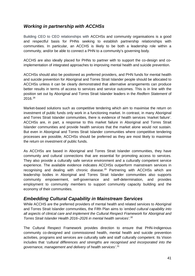## *Working in partnership with ACCHSs*

Building CEO to CEO relationships with ACCHSs and community organisations is a good and respectful basis for PHNs seeking to establish partnership relationships with communities. In particular, an ACCHS is likely to be both a leadership role within a community, and/or be able to connect a PHN to a community's governing body.

ACCHS are also ideally placed for PHNs to partner with to support the co-design and coimplementation of integrated approaches to improving mental health and suicide prevention.

ACCHSs should also be positioned as preferred providers, and PHN funds for mental health and suicide prevention for Aboriginal and Torres Strait Islander people should be allocated to ACCHSs unless it can be clearly demonstrated that alternative arrangements can produce better results in terms of access to services and service outcomes. This is in line with the position set out by Aboriginal and Torres Strait Islander leaders in the *Redfern Statement* of 2016. [28](#page-53-8)

Market-based solutions such as competitive tendering which aim to maximise the return on investment of public funds only work in a functioning market. In contrast, in many Aboriginal and Torres Strait Islander communities, there is evidence of health services 'market failure'. ACCHSs are, in part, a response to this market failure in Aboriginal and Torres Strait Islander communities and provide health services that the market alone would not sustain. But even in Aboriginal and Torres Strait Islander communities where competitive tendering processes are possible, ACCHSs should be preferred as they are most likely to maximise the return on investment of public funds.

As ACCHSs are based in Aboriginal and Torres Strait Islander communities, they have community and cultural connections that are essential for promoting access to services. They also provide a culturally safe service environment and a culturally competent service experience. The available evidence indicates ACCHSs outperform mainstream services in recognising and dealing with chronic disease.[29](#page-53-9) Partnering with ACCHSs which are leadership bodies in Aboriginal and Torres Strait Islander communities also supports community empowerment, self-governance and self-determination, and provides employment to community members to support community capacity building and the economy of their communities.

#### *Embedding Cultural Capability in Mainstream Services*

While ACCHS are the preferred providers of mental health and related services to Aboriginal and Torres Strait Islander communities, the Fifth Plan aims to '*embed cultural capability into all aspects of clinical care and implement the Cultural Respect Framework for Aboriginal and Torres Strait Islander Health 2016–2026 in mental health services'. [30](#page-53-10)*

The Cultural Respect Framework provides direction to ensure that PHN-Indigenous community co-designed and commissioned health, mental health and suicide prevention activities, programs and services are culturally safe and staff culturally competent. Its Vision includes that '*cultural differences and strengths are recognised and incorporated into the governance, management and delivery of health services'*. [31](#page-53-11)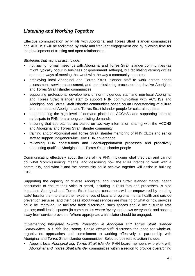## *Listening and Working Together*

Effective communication by PHNs with Aboriginal and Torres Strait Islander communities and ACCHSs will be facilitated by early and frequent engagement and by allowing time for the development of trusting and open relationships.

Strategies that might assist include:

- not having 'formal' meetings with Aboriginal and Torres Strait Islander communities (as might typically occur in business or government settings), but facilitating yarning circles and other ways of meeting that work with the way a community operates
- employing local Aboriginal and Torres Strait Islander staff to work across needs assessment, service assessment, and commissioning processes that involve Aboriginal and Torres Strait Islander communities
- supporting professional development of non-Indigenous staff and non-local Aboriginal and Torres Strait Islander staff to support PHN communication with ACCHSs and Aboriginal and Torres Strait Islander communities based on an understanding of culture and the needs of Aboriginal and Torres Strait Islander people for cultural supports
- understanding the high level of demand placed on ACCHSs and supporting them to participate in PHN fora among conflicting demands
- ensuring that approaches are based on two-way information sharing with the ACCHS and Aboriginal and Torres Strait Islander community
- training and/or Aboriginal and Torres Strait Islander mentoring of PHN CEOs and senior staff to support Indigenous-inclusive PHN governance
- reviewing PHN constitutions and Board-appointment processes and proactively appointing qualified Aboriginal and Torres Strait Islander people

Communicating effectively about the role of the PHN, including what they can and cannot do, what 'commissioning' means, and describing how the PHN intends to work with a community, and what it and the community could achieve together will assist in building trust.

Supporting the capacity of diverse Aboriginal and Torres Strait Islander mental health consumers to ensure their voice is heard, including in PHN fora and processes, is also important. Aboriginal and Torres Strait Islander consumers will be empowered by creating 'safe' fora for them to share their experiences of local and regional mental health and suicide prevention services, and their ideas about what services are missing or what or how services could be improved. To facilitate frank discussion, such spaces should be: culturally safe spaces; confidential spaces (in communities where 'everyone knows everyone'); and spaces away from service providers. Where appropriate a translator should be engaged.

*Implementing Integrated Suicide Prevention in Aboriginal and Torres Strait Islander Communities, A Guide for Primary Health Networks[32](#page-53-12)* discusses the need for whole-oforganisation approaches and commitment to working effectively in partnership with Aboriginal and Torres Strait Islander communities. Selected pointers to action include:

• Appoint local *Aboriginal and Torres Strait Islander* PHN board members who work with *Aboriginal and Torres Strait Islander* communities within a region to provide overarching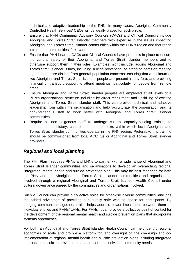technical and adaptive leadership to the PHN. In many cases, Aboriginal Community Controlled Health Services' CEOs will be ideally placed for such a role.

- Ensure that PHN Community Advisory Councils (CACs) and Clinical Councils include Aboriginal and Torres Strait Islander members with expertise in the issues impacting Aboriginal and Torres Strait Islander communities within the PHN's region and that reach into remote communities if relevant.
- Ensure that PHN boards, CACs and Clinical Councils have protocols in place to ensure the cultural safety of their Aboriginal and Torres Strait Islander members and to otherwise support them in their roles. Examples might include: adding Aboriginal and Torres Strait Islander issues, including suicide prevention, as standing items on meeting agendas that are distinct from general population concerns; ensuring that a minimum of two Aboriginal and Torres Strait Islander people are present in any fora; and providing financial or transport support to attend meetings, particularly for people from remote areas.
- Ensure Aboriginal and Torres Strait Islander peoples are employed at all levels of a PHN's organisational structure including by direct recruitment and upskilling of existing Aboriginal and Torres Strait Islander staff. This can provide technical and adaptive leadership from within the organisation and help 'acculturate' the organisation and its non-Indigenous staff to work better with Aboriginal and Torres Strait Islander communities.
- Require all non-Indigenous staff to undergo cultural capacity-building training to understand the history, culture and other contexts within which local Aboriginal and Torres Strait Islander communities operate in the PHN region. Preferably, this training should be commissioned from local ACCHSs or Aboriginal and Torres Strait Islander providers.

## *Regional and local planning*

The Fifth Plan<sup>[33](#page-53-13)</sup> requires PHNs and LHNs to partner with a wide range of Aboriginal and Torres Strait Islander communities and organisations to develop an overarching regional 'integrated' mental health and suicide prevention plan. This may be best managed for both the PHN and the Aboriginal and Torres Strait Islander communities and organisations involved through a regional Aboriginal and Torres Strait Islander Health Council under cultural governance agreed by the communities and organisations involved.

Such a Council can provide a collective voice for otherwise diverse communities, and has the added advantage of providing a culturally safe working space for participants. By bringing communities together, it also helps address power imbalances between them as individual entities and PHNs/ LHNs. For PHNs, it can provide a collective point of contact for the development of the regional mental health and suicide prevention plans that incorporate systems approaches.

For both, an Aboriginal and Torres Strait Islander Health Council can help identify regional economies of scale and provide a platform for, and oversight of, the co-design and coimplementation of regional mental health and suicide prevention plans including integrated approaches to suicide prevention that are tailored to individual community needs.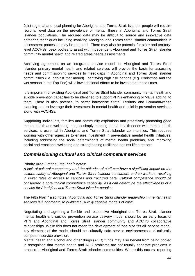Joint regional and local planning for Aboriginal and Torres Strait Islander people will require regional level data on the prevalence of mental illness in Aboriginal and Torres Strait Islander populations. The required data may be difficult to source and innovative data gathering techniques including involving Aboriginal and Torres Strait Islander communities in assessment processes may be required. There may also be potential for state and territorylevel ACCHSs' peak bodies to assist with independent Aboriginal and Torres Strait Islander community mental health and related areas needs assessments.

Achieving agreement on an integrated service model for Aboriginal and Torres Strait Islander primary mental health and related services will provide the basis for assessing needs and commissioning services to meet gaps in Aboriginal and Torres Strait Islander communities (i.e. against that model). Identifying high risk periods (e.g. Christmas and the wet season in the Top End) will allow additional efforts to be invested at these times.

It is important for existing Aboriginal and Torres Strait Islander community mental health and suicide prevention capacities to be identified to support PHNs enhancing or 'value adding' to them. There is also potential to better harmonise State/ Territory and Commonwealth planning and to leverage their investment in mental health and suicide prevention services, along with ACCHSs.

Supporting individuals, families and community aspirations and proactively promoting good mental health and wellbeing, not just simply meeting mental health needs with mental health services, is essential in Aboriginal and Torres Strait Islander communities. This requires working with other agencies to ensure investment in preventative mental health initiatives, including addressing the social determinants of mental health problems, and improving social and emotional wellbeing and strengthening resilience against life stressors.

#### *Commissioning cultural and clinical competent services*

#### Priority Area 3 of the Fifth Plan<sup>[34](#page-53-14)</sup> notes:

*A lack of cultural competency and the attitudes of staff can have a significant impact on the cultural safety of Aboriginal and Torres Strait Islander consumers and co-workers, resulting in lower rates of access to services and fractured care. Cultural competence should be considered a core clinical competence capability, as it can determine the effectiveness of a service for Aboriginal and Torres Strait Islander peoples.*

The Fifth Plan[35](#page-53-15) also notes, '*Aboriginal and Torres Strait Islander leadership in mental health services is fundamental to building culturally capable models of care'.*

Negotiating and agreeing a flexible and responsive Aboriginal and Torres Strait Islander mental health and suicide prevention service delivery model should be an early focus of PHN and Aboriginal and Torres Strait Islander community and ACCHS collaborative relationships. While this does not mean the development of 'one size fits all' service model, key elements of the model should be culturally safe service environments and culturally competent service provision.

Mental health and alcohol and other drugs (AOD) funds may also benefit from being pooled in recognition that mental health and AOD problems are not usually separate problems in practice in Aboriginal and Torres Strait Islander communities. Where this occurs, reporting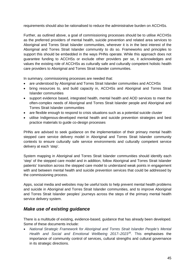requirements should also be rationalised to reduce the administrative burden on ACCHSs.

Further, as outlined above, a goal of commissioning processes should be to utilise ACCHSs as the preferred providers of mental health, suicide prevention and related area services to Aboriginal and Torres Strait Islander communities, wherever it is in the best interest of the Aboriginal and Torres Strait Islander community to do so. Frameworks and principles to support this should be embedded in the ways PHNs operate. While this approach does not guarantee funding to ACCHSs or exclude other providers per se, it acknowledges and values the existing role of ACCHSs as culturally safe and culturally competent holistic health care providers to Aboriginal and Torres Strait Islander communities.

In summary, commissioning processes are needed that:

- are understood by Aboriginal and Torres Strait Islander communities and ACCHSs
- bring resources to, and build capacity in, ACCHSs and Aboriginal and Torres Strait Islander communities
- support evidence based, integrated health, mental health and AOD services to meet the often-complex needs of Aboriginal and Torres Strait Islander people and Aboriginal and Torres Strait Islander communities
- are flexible enough to respond to crisis situations such as a potential suicide cluster
- utilise Indigenous-developed mental health and suicide prevention strategies and best practice materials to guide co-design processes

PHNs are advised to seek guidance on the implementation of their primary mental health stepped care service delivery model in Aboriginal and Torres Strait Islander community contexts to ensure culturally safe service environments and culturally competent service delivery at each 'step'.

System mapping in Aboriginal and Torres Strait Islander communities should identify each 'step' of the stepped care model and in addition, follow Aboriginal and Torres Strait Islander patients' transition across the stepped care model to understand weak points in engagement with and between mental health and suicide prevention services that could be addressed by the commissioning process.

Apps, social media and websites may be useful tools to help prevent mental health problems and suicide in Aboriginal and Torres Strait Islander communities, and to improve Aboriginal and Torres Strait Islander peoples' journeys across the steps of the primary mental health service delivery system.

## *Make use of existing guidance*

There is a multitude of existing, evidence-based, guidance that has already been developed. Some of these documents include:

• *National Strategic Framework for Aboriginal and Torres Strait Islander People's Mental Health and Social and Emotional Wellbeing 2017–2023[36.](#page-54-0)* This emphasises the importance of community control of services, cultural strengths and cultural governance in its strategic directions.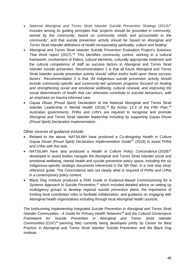- <sup>77</sup> *National Aboriginal and Torres Strait Islander Suicide Prevention Strategy* (2013)<sup>[37](#page-54-1)</sup> includes among its guiding principles that *'projects should be grounded in community, owned by the community, based on community needs and accountable to the community*'; and that suicide prevention activity should be '*based on Aboriginal and Torres Strait Islander definitions of health incorporating spirituality, culture and healing'*.
- Aboriginal and Torres Strait Islander Suicide Prevention Evaluation Project's *Solutions That Work* report (2017).[38](#page-54-2) This identifies community control, working in a cultural framework, involvement of Elders, cultural elements, culturally appropriate treatment and the cultural competence of staff as success factors in Aboriginal and Torres Strait Islander suicide prevention. Recommendation 1 is that all future Aboriginal and Torres Strait Islander suicide prevention activity should '*utilise and/or build upon' these success factors*'. Recommendation 2 is that '*All Indigenous suicide prevention activity should include community-specific and community-led upstream programs focused on healing and strengthening social and emotional wellbeing, cultural renewal, and improving the social determinants of health that can otherwise contribute to suicidal behaviours, with an emphasis on trauma informed care*.
- *Gayaa Dhuwi (Proud Spirit) Declaration* of the National Aboriginal and Torres Strait Islander Leadership in Mental Health (2016).<sup>[39](#page-54-3)</sup> By Action 12.3 of the Fifth Plan.<sup>[40](#page-54-4)</sup> Australian governments, PHNs and LHN's are required to recognise and promote Aboriginal and Torres Strait Islander leadership including by supporting *Gayaa Dhuwi (Proud Spirit) Declaration* implementation.

Other sources of guidance include:

- Related to the above, NATSILMH have produced a *Co-designing Health in Culture Gayaa Dhuwi (Proud Spirit) Declaration Implementation Guide[41](#page-54-5)* (2018) to assist PHNs and LHNs with this task.
- NATSILMH have also produced a *Health in Culture Policy Concordance* (2018)<sup>[42](#page-54-6)</sup> developed to assist bodies navigate the Aboriginal and Torres Strait Islander social and emotional wellbeing, mental health and suicide prevention policy space, including the six Indigenous-specific strategic documents referenced in the 5th Plan, in a 'one stop shop' reference guide. The Concordance sets out clearly what is required of PHNs and LHNs in a contemporary policy context.
- Black Dog Institute produced a *PHN Guide to Evidence-Based Commissioning for a Systems Approach to Suicide Prevention*, [43](#page-54-7) which included detailed advice on setting up multiagency groups to develop regional suicide prevention plans, the importance of funding local coordinator roles to facilitate collaboration, and guidance on engaging with Aboriginal health organisations including through local Aboriginal health councils.

The forthcoming *Implementing Integrated Suicide Prevention in Aboriginal and Torres Strait Islander Communities - A Guide for Primary Health Networks[44](#page-54-8)* and the *Cultural Governance Framework for Suicide Prevention in Aboriginal and Torres Strait Islander Communities* (CGF)[45](#page-54-9) (working title) currently being developed jointly by Centre for Best Practice in Aboriginal and Torres Strait Islander Suicide Prevention and the Black Dog Institute.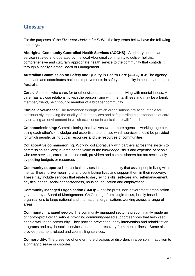# <span id="page-46-0"></span>**Glossary**

For the purposes of the *Five Year Horizon for PHNs*, the key terms below have the following meanings.

**Aboriginal Community Controlled Health Services (ACCHS)**: A primary health care service initiated and operated by the local Aboriginal community to deliver holistic, comprehensive and culturally appropriate health service to the community that controls it, through a locally elected Board of Management.

**Australian Commission on Safety and Quality in Health Care (ACSQHC)**: The agency that leads and coordinates national improvements in safety and quality in health care across Australia.

**Carer:** A person who cares for or otherwise supports a person living with mental illness. A carer has a close relationship with the person living with mental illness and may be a family member, friend, neighbour or member of a broader community.

**Clinical governance:** The framework through which organisations are accountable for continuously improving the quality of their services and safeguarding high standards of care by creating an environment in which excellence in clinical care will flourish.

**Co-commissioning:** Commissioning that involves two or more agencies working together, using each other's knowledge and expertise, to prioritise which services should be provided for which people, using public resources and the resources of communities.

**Collaborative commissioning:** Working collaboratively with partners across the system to commission services; leveraging the value of the knowledge, skills and expertise of people who use services, carers, front-line staff, providers and commissioners but not necessarily by pooling budgets or resources

**Community supports:** Non-clinical services in the community that assist people living with mental illness to live meaningful and contributing lives and support them in their recovery. These may include services that relate to daily living skills, self-care and self-management, physical health, social connectedness, housing, education and employment.

**Community Managed Organisation (CMO):** A not-for-profit, non-government organisation governed by a Board of Management. CMOs range from single-focus, locally based organisations to large national and international organisations working across a range of areas.

**Community managed sector:** The community managed sector is predominantly made up of not-for-profit organisations providing community-based support services that help keep people well in the community. They provide prevention, early intervention and rehabilitation programs and psychosocial services that support recovery from mental illness. Some also provide treatment-related and counselling services.

**Co-morbidity:** The presence of one or more diseases or disorders in a person, in addition to a primary disease or disorder.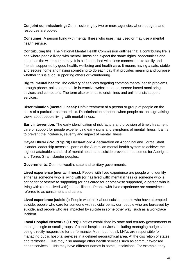**Conjoint commissioning:** Commissioning by two or more agencies where budgets and resources are pooled

**Consumer:** A person living with mental illness who uses, has used or may use a mental health service.

**Contributing life:** The National Mental Health Commission outlines that a contributing life is one where people living with mental illness can expect the same rights, opportunities and health as the wider community. It is a life enriched with close connections to family and friends, supported by good health, wellbeing and health care. It means having a safe, stable and secure home and having something to do each day that provides meaning and purpose, whether this is a job, supporting others or volunteering.

**Digital mental health: T**he delivery of services targeting common mental health problems through phone, online and mobile interactive websites, apps, sensor based monitoring devices and computers. The term also extends to crisis lines and online crisis support services.

**Discrimination (mental illness):** Unfair treatment of a person or group of people on the basis of a particular characteristic. Discrimination happens when people act on stigmatising views about people living with mental illness.

**Early intervention**: The early identification of risk factors and provision of timely treatment, care or support for people experiencing early signs and symptoms of mental illness. It aims to prevent the incidence, severity and impact of mental illness.

**Gayaa Dhuwi (Proud Spirit) Declaration:** A declaration on Aboriginal and Torres Strait Islander leadership across all parts of the Australian mental health system to achieve the highest attainable standard of mental health and suicide prevention outcomes for Aboriginal and Torres Strait Islander peoples.

**Governments**: Commonwealth, state and territory governments.

**Lived experience (mental illness):** People with lived experience are people who identify either as someone who is living with (or has lived with) mental illness or someone who is caring for or otherwise supporting (or has cared for or otherwise supported) a person who is living with (or has lived with) mental illness. People with lived experience are sometimes referred to as consumers and carers.

**Lived experience (suicide):** People who think about suicide, people who have attempted suicide, people who care for someone with suicidal behaviour, people who are bereaved by suicide, and people who are impacted by suicide in some other way, such as a workplace incident.

**Local Hospital Networks (LHNs)**: Entities established by state and territory governments to manage single or small groups of public hospital services, including managing budgets and being directly responsible for performance. Most, but not all, LHNs are responsible for managing public hospital services in a defined geographical area. At the discretion of states and territories, LHNs may also manage other health services such as community-based health services. LHNs may have different names in some jurisdictions. For example, they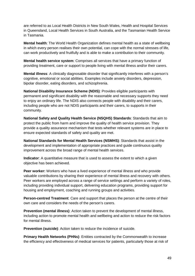are referred to as Local Health Districts in New South Wales, Health and Hospital Services in Queensland, Local Health Services in South Australia, and the Tasmanian Health Service in Tasmania.

**Mental health**: The World Health Organization defines mental health as a state of wellbeing in which every person realises their own potential, can cope with the normal stresses of life, can work productively and fruitfully and is able to make a contribution to their community.

**Mental health service system**: Comprises all services that have a primary function of providing treatment, care or support to people living with mental illness and/or their carers.

**Mental illness**: A clinically diagnosable disorder that significantly interferes with a person's cognitive, emotional or social abilities. Examples include anxiety disorders, depression, bipolar disorder, eating disorders, and schizophrenia.

**National Disability Insurance Scheme (NDIS)**: Provides eligible participants with permanent and significant disability with the reasonable and necessary supports they need to enjoy an ordinary life. The NDIS also connects people with disability and their carers, including people who are not NDIS participants and their carers, to supports in their community.

**National Safety and Quality Health Service (NSQHS) Standards**: Standards that aim to protect the public from harm and improve the quality of health service provision. They provide a quality assurance mechanism that tests whether relevant systems are in place to ensure expected standards of safety and quality are met.

**National Standards for Mental Health Services (NSMHS)**: Standards that assist in the development and implementation of appropriate practices and guide continuous quality improvement across the broad range of mental health services.

**Indicator**: A quantitative measure that is used to assess the extent to which a given objective has been achieved.

**Peer worker:** Workers who have a lived experience of mental illness and who provide valuable contributions by sharing their experience of mental illness and recovery with others. Peer workers are employed across a range of service settings and perform a variety of roles, including providing individual support, delivering education programs, providing support for housing and employment, coaching and running groups and activities.

**Person-centred Treatment**: Care and support that places the person at the centre of their own care and considers the needs of the person's carers.

**Prevention (mental illness)**: Action taken to prevent the development of mental illness, including action to promote mental health and wellbeing and action to reduce the risk factors for mental illness.

**Prevention (suicide)**: Action taken to reduce the incidence of suicide.

**Primary Health Networks (PHNs):** Entities contracted by the Commonwealth to increase the efficiency and effectiveness of medical services for patients, particularly those at risk of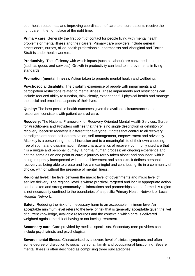poor health outcomes, and improving coordination of care to ensure patients receive the right care in the right place at the right time.

**Primary care:** Generally the first point of contact for people living with mental health problems or mental illness and their carers. Primary care providers include general practitioners, nurses, allied health professionals, pharmacists and Aboriginal and Torres Strait Islander health workers.

**Productivity**: The efficiency with which inputs (such as labour) are converted into outputs (such as goods and services). Growth in productivity can lead to improvements in living standards.

**Promotion (mental illness):** Action taken to promote mental health and wellbeing.

**Psychosocial disability**: The disability experience of people with impairments and participation restrictions related to mental illness. These impairments and restrictions can include reduced ability to function, think clearly, experience full physical health and manage the social and emotional aspects of their lives.

**Quality:** The best possible health outcomes given the available circumstances and resources, consistent with patient centred care.

**Recovery:** The National Framework for Recovery-Oriented Mental Health Services: Guide for Practitioners and Providers outlines that there is no single description or definition of recovery, because recovery is different for everyone. It notes that central to all recovery paradigms are hope, self-determination, self-management, empowerment and advocacy. Also key is a person's right to full inclusion and to a meaningful life of their own choosing, free of stigma and discrimination. Some characteristics of recovery commonly cited are that it is a unique and personal journey; a normal human process; an ongoing experience and not the same as an end point or cure; a journey rarely taken alone; and nonlinear, with it being frequently interspersed with both achievement and setbacks. It defines personal recovery as being able to create and live a meaningful and contributing life in a community of choice, with or without the presence of mental illness.

**Regional level**: The level between the macro level of governments and micro level of service delivery. The regional level is where practical, targeted and locally appropriate action can be taken and strong community collaborations and partnerships can be formed. A region is not necessarily confined to the boundaries of a specific Primary Health Network or Local Hospital Network.

**Safety:** Reducing the risk of unnecessary harm to an acceptable minimum level.An acceptable minimum level refers to the level of risk that is generally acceptable given the lvel of current knowledge, available resources and the context in which care is delivered weighted against the risk of having or not having treatment.

**Secondary care**: Care provided by medical specialists. Secondary care providers can include psychiatrists and psychologists.

**Severe mental illness**: Characterised by a severe level of clinical symptoms and often some degree of disruption to social, personal, family and occupational functioning. Severe mental illness is often described as comprising three subcategories: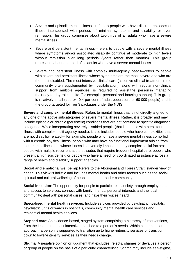- Severe and episodic mental illness—refers to people who have discrete episodes of illness interspersed with periods of minimal symptoms and disability or even remission. This group comprises about two-thirds of all adults who have a severe mental illness.
- Severe and persistent mental illness—refers to people with a severe mental illness where symptoms and/or associated disability continue at moderate to high levels without remission over long periods (years rather than months). This group represents about one-third of all adults who have a severe mental illness.
- Severe and persistent illness with complex multi-agency needs—refers to people with severe and persistent illness whose symptoms are the most severe and who are the most disabled. The most intensive clinical care (assertive clinical treatment in the community often supplemented by hospitalisation), along with regular non-clinical support from multiple agencies, is required to assist the person in managing their day-to-day roles in life (for example, personal and housing support). This group is relatively small (approx. 0.4 per cent of adult population, or 60 000 people) and is the group targeted for Tier 3 packages under the NDIS.

**Severe and complex mental illness**: Refers to mental illness that is not directly aligned to any one of the above subcategories of severe mental illness. Rather, it is broader and may include episodic or chronic (persistent) conditions that are not confined to specific diagnostic categories. While incorporating severely disabled people (that is, people with persistent illness with complex multi-agency needs), it also includes people who have complexities that are not disability related— for example, people who have a severe mental illness comorbid with a chronic physical illness; people who may have no functional impairment arising from their mental illness but whose illness is adversely impacted on by complex social factors; people with multiple recurrent acute episodes that require frequent hospital care; people who present a high suicide risk; or people who have a need for coordinated assistance across a range of health and disability support agencies.

**Social and emotional wellbeing**: Refers to the Aboriginal and Torres Strait Islander view of health. This view is holistic and includes mental health and other factors such as the social, spiritual and cultural wellbeing of people and the broader community.

**Social inclusion**: The opportunity for people to participate in society through employment and access to services; connect with family, friends, personal interests and the local community; deal with personal crises; and have their voices heard.

**Specialised mental health services**: Include services provided by psychiatric hospitals, psychiatric units or wards in hospitals, community mental health care services and residential mental health services.

**Stepped care:** An evidence-based, staged system comprising a hierarchy of interventions, from the least to the most intensive, matched to a person's needs. Within a stepped care approach, a person is supported to transition up to higher-intensity services or transition down to lower-intensity services as their needs change.

**Stigma**: A negative opinion or judgment that excludes, rejects, shames or devalues a person or group of people on the basis of a particular characteristic. Stigma may include self-stigma,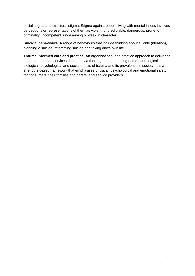social stigma and structural stigma. Stigma against people living with mental illness involves perceptions or representations of them as violent, unpredictable, dangerous, prone to criminality, incompetent, undeserving or weak in character.

**Suicidal behaviours**: A range of behaviours that include thinking about suicide (ideation), planning a suicide, attempting suicide and taking one's own life.

**Trauma informed care and practice**: An organisational and practice approach to delivering health and human services directed by a thorough understanding of the neurological, biological, psychological and social effects of trauma and its prevalence in society. It is a strengths-based framework that emphasises physical, psychological and emotional safety for consumers, their families and carers, and service providers.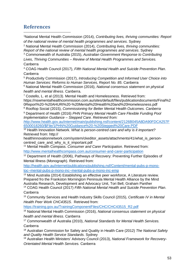## <span id="page-52-0"></span>**References**

-

<span id="page-52-1"></span>1 National Mental Health Commission (2014), *Contributing lives, thriving communities: Report of the national review of mental health programmes and services*. Sydney

<span id="page-52-2"></span><sup>2</sup> National Mental Health Commission (2014), *Contributing lives, thriving communities: Report of the national review of mental health programmes and services*. Sydney

<span id="page-52-3"></span><sup>3</sup> Commonwealth of Australia (2015), *Australian Government Response to Contributing* 

*Lives, Thriving Communities – Review of Mental Health Programmes and Services.*  Canberra

<span id="page-52-4"></span><sup>4</sup> COAG Health Council (2017), *Fifth National Mental Health and Suicide Prevention Plan*. Canberra

<span id="page-52-5"></span><sup>5</sup> Productivity Commission (2017), *Introducing Competition and Informed User Choice into Human Services: Reforms to Human Services, Report No. 85*. Canberra

<span id="page-52-6"></span><sup>6</sup> National Mental Health Commission (2016), *National consensus statement on physical health and mental illness*. Canberra.

<span id="page-52-7"></span><sup>7</sup> Costello, L. et al (2013). Mental Health and Homelessness. Retrieved from: https://nswmentalhealthcommission.com.au/sites/default/files/publicationdocuments/Final%2 0Report%20-%20AHURI%20-%20Mental%20Health%20and%20Homelessness.pdf <sup>8</sup> Rooftop Social (2015), *Commissioning for Better Mental Health Outcomes. Canberra* 

<span id="page-52-9"></span><span id="page-52-8"></span><sup>9</sup> Department of Health (2016) *PHN Primary Mental Health Care Flexible Funding Pool Implementation Guidance – Stepped Care. Retrieved from:* 

*h*[ttp://www.health.gov.au/internet/main/publishing.nsf/content/2126B045A8DA90FDCA257F](http://www.health.gov.au/internet/main/publishing.nsf/content/2126B045A8DA90FDCA257F6500018260/$File/1PHN%20Guidance%20-%20Stepped%20Care.PDF) [6500018260/\\$File/1PHN%20Guidance%20-%20Stepped%20Care.PDF](http://www.health.gov.au/internet/main/publishing.nsf/content/2126B045A8DA90FDCA257F6500018260/$File/1PHN%20Guidance%20-%20Stepped%20Care.PDF)

<span id="page-52-10"></span><sup>10</sup> Health Innovation Network. *What is person-centred care and why is it important?*  Retrieved from: http://

healthinnovationnetwork.com/system/ckeditor\_assets/attachments/41/what\_is\_personcentred\_care\_and\_why\_is\_it\_important.pdf

<span id="page-52-11"></span><sup>11</sup> Mental Health Compass. *Consumer and Carer Participation*. Retrieved from: <http://www.mentalhealthcompass.com.au/consumer-and-carer-participation>

<span id="page-52-12"></span><sup>12</sup> Department of Health (2006), Pathways of Recovery: Preventing Further Episodes of Mental Illness (Monograph). Retrieved from:

[http://health.gov.au/internet/publications/publishing.nsf/Content/mental-pubs-p-mono](http://health.gov.au/internet/publications/publishing.nsf/Content/mental-pubs-p-mono-toc%7Emental-pubs-p-mono-inc%7Emental-pubs-p-mono-inc-emp)[toc~mental-pubs-p-mono-inc~mental-pubs-p-mono-inc-emp](http://health.gov.au/internet/publications/publishing.nsf/Content/mental-pubs-p-mono-toc%7Emental-pubs-p-mono-inc%7Emental-pubs-p-mono-inc-emp)

<span id="page-52-13"></span><sup>13</sup> Mind Australia (2014) Establishing an effective peer workforce, A Literature review. Prepared fro the Frankston Mornington Peninsula Mental Health Alliance by the Mind Australia Research, Development and Advocacy Unit, Tori Bell, Graham Panther

<span id="page-52-14"></span><sup>14</sup> COAG Health Council (2017) *Fifth National Mental Health and Suicide Prevention Plan*. Canberra

<span id="page-52-15"></span><sup>15</sup> Community Services and Health Industry Skills Council (2015), *Certificate IV in Mental Health Peer Work CHC43515*. Retrieved from:

[https://training.gov.au/TrainingComponentFiles/CHC/CHC43515\\_R2.pdf](https://training.gov.au/TrainingComponentFiles/CHC/CHC43515_R2.pdf)

<span id="page-52-16"></span><sup>16</sup> National Mental Health Commission (2016), *National consensus statement on physical health and mental illness*. Canberra

<span id="page-52-17"></span><sup>17</sup> Commonwealth of Australia (2010), *National Standards for Mental Health Services.*  Canberra

<span id="page-52-18"></span><sup>18</sup> Australian Commission for Safety and Quality in Health Care (2012) *The National Safety and Quality Health Service Standards*. Sydney

<span id="page-52-19"></span><sup>19</sup> Australian Health Ministers' Advisory Council (2013), *National Framework for Recovery-Orientated Mental Health Services.* Canberra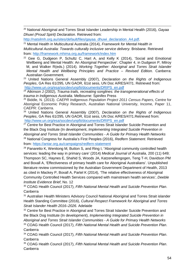<span id="page-53-0"></span> 20 National Aboriginal and Torres Strait Islander Leadership in Mental Health (2016), *Gayaa Dhuwi (Proud Spirit) Declaration*. Retrieved from:

[http://natsilmh.org.au/sites/default/files/gayaa\\_dhuwi\\_declaration\\_A4.pdf.](http://natsilmh.org.au/sites/default/files/gayaa_dhuwi_declaration_A4.pdf)

<span id="page-53-1"></span><sup>21</sup> Mental Health in Multicultural Australia (2014), *Framework for Mental Health in Multicultural Australia: Towards culturally inclusive service delivery.* Brisbane. Retrieved from:<http://framework.mhima.org.au/framework/index.htm>

<span id="page-53-2"></span> $22$  Gee G, Dudgeon P, Schultz C, Hart A, and Kelly K (2014), 'Social and Emotional Wellbeing and Mental Health: An Aboriginal Perspective'. Chapter 4, in Dudgeon P, Milroy M, and Walker R(eds.) (2014). *Working Together: Aboriginal and Torres Strait Islander Mental Health and Wellbeing Principles and Practice – Revised Edition.* Canberra: Australian Government.

<span id="page-53-3"></span><sup>23</sup> United Nations General Assembly (2007), *Declaration on the Rights of Indigenous Peoples*, GA Res 61/295, UN GAOR, 61st sess, UN Doc A/RES/47/1. Retrieved from: [http://www.un.org/esa/socdev/unpfii/documents/DRIPS\\_en.pdf](http://www.un.org/esa/socdev/unpfii/documents/DRIPS_en.pdf)

<span id="page-53-4"></span><sup>24</sup> Atkinson J (2002), *Trauma trails, recreating songlines: the transgenerational effects of trauma in Indigenous Australia*. Melbourne: Spinifex Press

<span id="page-53-5"></span><sup>25</sup> Biddle, N. (2013). *CAEPR Indigenous Population Project 2011 Census Papers*, Centre for Aboriginal Economic Policy Research, Australian National University, Income, Paper 11, CAEPR: Canberra.

<span id="page-53-6"></span><sup>26</sup> United Nations General Assembly (2007), *Declaration on the Rights of Indigenous Peoples*, GA Res 61/295, UN GAOR, 61st sess, UN Doc A/RES/47/1.Retrieved from: [http://www.un.org/esa/socdev/unpfii/documents/DRIPS\\_en.pdf](http://www.un.org/esa/socdev/unpfii/documents/DRIPS_en.pdf)

<span id="page-53-7"></span> $27$  Centre for Best Practice in Aboriginal and Torres Strait Islander Suicide Prevention and the Black Dog Institute (In development, *Implementing Integrated Suicide Prevention in Aboriginal and Torres Strait Islander Communities - A Guide for Primary Health Networks* <sup>28</sup> National Congress for Australia's First Peoples (2016), *Redfern Statement*. Retrieved from:<https://antar.org.au/campaigns/redfern-statement>

<span id="page-53-9"></span><span id="page-53-8"></span><sup>29</sup> Panaretto K, Wenitong M, Button S, and Ring I, "Aboriginal community controlled health services: leading the way in primary care' (2014) *Medical Journal of Australia*, 200 (11) 649; Thompson SC, Haynes E, Shahid S, Woods JA, Katzenellengogen, Teng T-H, Davidson PM and Boxall A, 'Effectiveness of primary health care for Aboriginal Australians'. Unpublished literature review commissioned by the Australian Government Department of Health, 2013 as cited in Mackey P, Boxall A, Partel K (2014), 'The relative effectiveness of Aboriginal Community Controlled Health Services compared with mainstream health services', *Deeble Institute Evidence Brief*, No. 12

<span id="page-53-10"></span><sup>30</sup> COAG Health Council (2017), *Fifth National Mental Health and Suicide Prevention Plan*. Canberra

<span id="page-53-11"></span><sup>31</sup> Australian Health Ministers Advisory Council National Aboriginal and Torres Strait islander Health Standing Committee (2016), *Cultural Respect Framework for Aboriginal and Torres Strait Islander Health 2016–2026.* Adelaide

<span id="page-53-12"></span><sup>32</sup> Centre for Best Practice in Aboriginal and Torres Strait Islander Suicide Prevention and the Black Dog Institute (In development), *Implementing Integrated Suicide Prevention in Aboriginal and Torres Strait Islander Communities - A Guide for Primary Health Networks* <sup>33</sup> COAG Health Council (2017), *Fifth National Mental Health and Suicide Prevention Plan*. Canberra

<span id="page-53-14"></span><span id="page-53-13"></span><sup>34</sup> COAG Health Council (2017), *Fifth National Mental Health and Suicide Prevention Plan*. Canberra

<span id="page-53-15"></span><sup>35</sup> COAG Health Council (2017), *Fifth National Mental Health and Suicide Prevention Plan*. Canberra